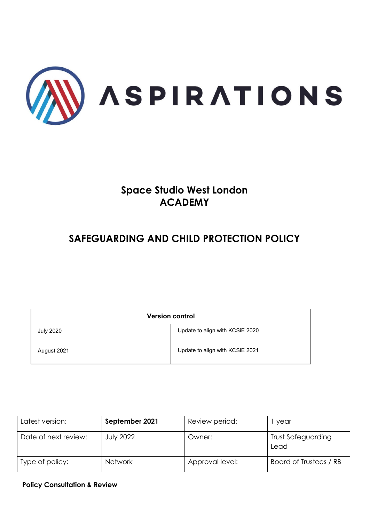

# **Space Studio West London ACADEMY**

# **SAFEGUARDING AND CHILD PROTECTION POLICY**

| <b>Version control</b> |                                 |  |
|------------------------|---------------------------------|--|
| July 2020              | Update to align with KCSiE 2020 |  |
| August 2021            | Update to align with KCSiE 2021 |  |

| Latest version:      | September 2021   | Review period:  | year                              |
|----------------------|------------------|-----------------|-----------------------------------|
| Date of next review: | <b>July 2022</b> | Owner:          | <b>Trust Safeguarding</b><br>Lead |
| Type of policy:      | <b>Network</b>   | Approval level: | Board of Trustees / RB            |

#### **Policy Consultation & Review**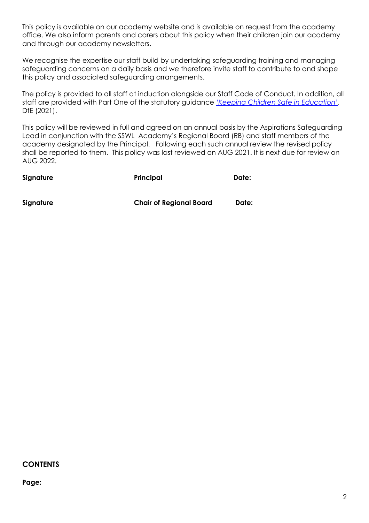This policy is available on our academy website and is available on request from the academy office. We also inform parents and carers about this policy when their children join our academy and through our academy newsletters.

We recognise the expertise our staff build by undertaking safeguarding training and managing safeguarding concerns on a daily basis and we therefore invite staff to contribute to and shape this policy and associated safeguarding arrangements.

The policy is provided to all staff at induction alongside our Staff Code of Conduct. In addition, all staff are provided with Part One of the statutory guidance *'Keeping Children [Safe in Education'](https://www.gov.uk/government/publications/keeping-children-safe-in-education--2)*, DfE (2021).

This policy will be reviewed in full and agreed on an annual basis by the Aspirations Safeguarding Lead in conjunction with the SSWL Academy's Regional Board (RB) and staff members of the academy designated by the Principal. Following each such annual review the revised policy shall be reported to them. This policy was last reviewed on AUG 2021. It is next due for review on AUG 2022.

| Signature | Principal | Date: |
|-----------|-----------|-------|
|           |           |       |

**Signature Chair of Regional Board Date:**

#### **CONTENTS**

**Page:**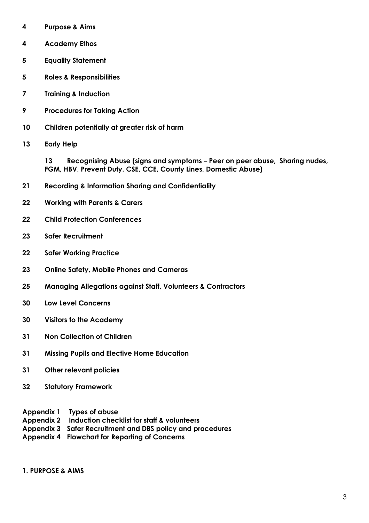- **Purpose & Aims**
- **Academy Ethos**
- **Equality Statement**
- **Roles & Responsibilities**
- **Training & Induction**
- **Procedures for Taking Action**
- **Children potentially at greater risk of harm**
- **Early Help**

 **Recognising Abuse (signs and symptoms – Peer on peer abuse, Sharing nudes, FGM, HBV, Prevent Duty, CSE, CCE, County Lines, Domestic Abuse)**

- **Recording & Information Sharing and Confidentiality**
- **Working with Parents & Carers**
- **Child Protection Conferences**
- **Safer Recruitment**
- **Safer Working Practice**
- **23 Online Safety, Mobile Phones and Cameras**
- **Managing Allegations against Staff, Volunteers & Contractors**
- **Low Level Concerns**
- **Visitors to the Academy**
- **Non Collection of Children**
- **Missing Pupils and Elective Home Education**
- **Other relevant policies**
- **32 Statutory Framework**
- **Appendix 1 Types of abuse**
- **Appendix 2 Induction checklist for staff & volunteers**
- **Appendix 3 Safer Recruitment and DBS policy and procedures**
- **Appendix 4 Flowchart for Reporting of Concerns**

**1. PURPOSE & AIMS**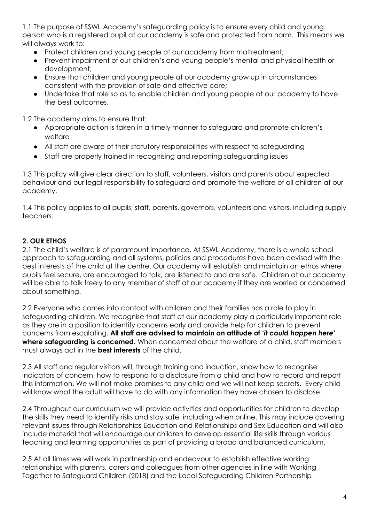1.1 The purpose of SSWL Academy's safeguarding policy is to ensure every child and young person who is a registered pupil at our academy is safe and protected from harm. This means we will always work to:

- Protect children and young people at our academy from maltreatment;
- Prevent impairment of our children's and young people's mental and physical health or development;
- Ensure that children and young people at our academy grow up in circumstances consistent with the provision of safe and effective care;
- Undertake that role so as to enable children and young people at our academy to have the best outcomes.

1.2 The academy aims to ensure that:

- Appropriate action is taken in a timely manner to safeguard and promote children's welfare
- All staff are aware of their statutory responsibilities with respect to safeguarding
- Staff are properly trained in recognising and reporting safeguarding issues

1.3 This policy will give clear direction to staff, volunteers, visitors and parents about expected behaviour and our legal responsibility to safeguard and promote the welfare of all children at our academy.

1.4 This policy applies to all pupils, staff, parents, governors, volunteers and visitors, including supply teachers.

## **2. OUR ETHOS**

2.1 The child's welfare is of paramount importance. At SSWL Academy, there is a whole school approach to safeguarding and all systems, policies and procedures have been devised with the best interests of the child at the centre. Our academy will establish and maintain an ethos where pupils feel secure, are encouraged to talk, are listened to and are safe. Children at our academy will be able to talk freely to any member of staff at our academy if they are worried or concerned about something.

2.2 Everyone who comes into contact with children and their families has a role to play in safeguarding children. We recognise that staff at our academy play a particularly important role as they are in a position to identify concerns early and provide help for children to prevent concerns from escalating. **All staff are advised to maintain an attitude of '***it could happen here***' where safeguarding is concerned.** When concerned about the welfare of a child, staff members must always act in the **best interests** of the child.

2.3 All staff and regular visitors will, through training and induction, know how to recognise indicators of concern, how to respond to a disclosure from a child and how to record and report this information. We will not make promises to any child and we will not keep secrets. Every child will know what the adult will have to do with any information they have chosen to disclose.

2.4 Throughout our curriculum we will provide activities and opportunities for children to develop the skills they need to identify risks and stay safe, including when online. This may include covering relevant issues through Relationships Education and Relationships and Sex Education and will also include material that will encourage our children to develop essential life skills through various teaching and learning opportunities as part of providing a broad and balanced curriculum.

2.5 At all times we will work in partnership and endeavour to establish effective working relationships with parents, carers and colleagues from other agencies in line with Working Together to Safeguard Children (2018) and the Local Safeguarding Children Partnership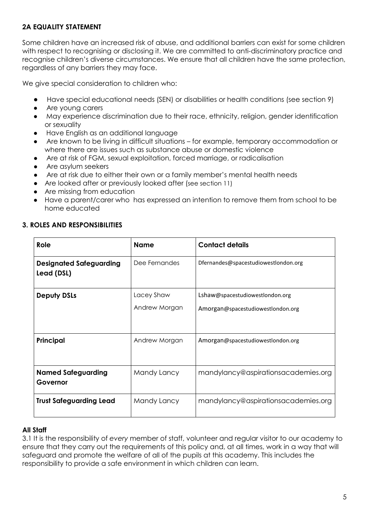## **2A EQUALITY STATEMENT**

Some children have an increased risk of abuse, and additional barriers can exist for some children with respect to recognising or disclosing it. We are committed to anti-discriminatory practice and recognise children's diverse circumstances. We ensure that all children have the same protection, regardless of any barriers they may face.

We give special consideration to children who:

- Have special educational needs (SEN) or disabilities or health conditions (see section 9)
- Are young carers
- May experience discrimination due to their race, ethnicity, religion, gender identification or sexuality
- Have English as an additional language
- Are known to be living in difficult situations for example, temporary accommodation or where there are issues such as substance abuse or domestic violence
- Are at risk of FGM, sexual exploitation, forced marriage, or radicalisation
- Are asylum seekers
- Are at risk due to either their own or a family member's mental health needs
- Are looked after or previously looked after (see section 11)
- Are missing from education
- Have a parent/carer who has expressed an intention to remove them from school to be home educated

| <b>Role</b>                                  | <b>Name</b>   | <b>Contact details</b>               |
|----------------------------------------------|---------------|--------------------------------------|
| <b>Designated Safeguarding</b><br>Lead (DSL) | Dee Fernandes | Dfernandes@spacestudiowestlondon.org |
| <b>Deputy DSLs</b>                           | Lacey Shaw    | Lshaw@spacestudiowestlondon.org      |
|                                              | Andrew Morgan | Amorgan@spacestudiowestlondon.org    |
| Principal                                    | Andrew Morgan | Amorgan@spacestudiowestlondon.org    |
| <b>Named Safeguarding</b><br>Governor        | Mandy Lancy   | mandylancy@aspirationsacademies.org  |
| <b>Trust Safeguarding Lead</b>               | Mandy Lancy   | mandylancy@aspirationsacademies.org  |

#### **3. ROLES AND RESPONSIBILITIES**

#### **All Staff**

3.1 It is the responsibility of *every* member of staff, volunteer and regular visitor to our academy to ensure that they carry out the requirements of this policy and, at all times, work in a way that will safeguard and promote the welfare of all of the pupils at this academy. This includes the responsibility to provide a safe environment in which children can learn.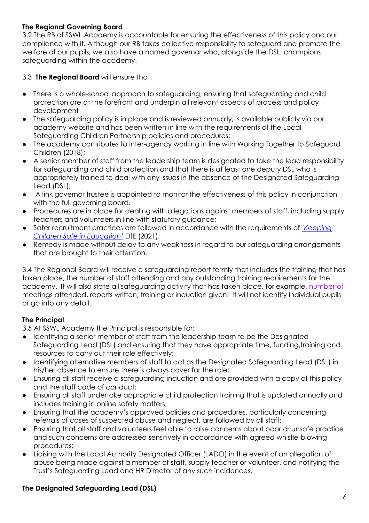## **The Regional Governing Board**

3.2 The RB of SSWL Academy is accountable for ensuring the effectiveness of this policy and our compliance with it. Although our RB takes collective responsibility to safeguard and promote the welfare of our pupils, we also have a named governor who, alongside the DSL, champions safeguarding within the academy.

## 3.3 **The Regional Board** will ensure that:

- There is a whole-school approach to safeguarding, ensuring that safeguarding and child protection are at the forefront and underpin all relevant aspects of process and policy development
- The safeguarding policy is in place and is reviewed annually, is available publicly via our academy website and has been written in line with the requirements of the Local Safeguarding Children Partnership policies and procedures;
- The academy contributes to inter-agency working in line with Working Together to Safeguard Children (2018);
- A senior member of staff from the leadership team is designated to take the lead responsibility for safeguarding and child protection and that there is at least one deputy DSL who is appropriately trained to deal with any issues in the absence of the Designated Safeguarding Lead (DSL);
- A link governor trustee is appointed to monitor the effectiveness of this policy in conjunction with the full governing board.
- Procedures are in place for dealing with allegations against members of staff, including supply teachers and volunteers in line with statutory guidance;
- Safer recruitment practices are followed in accordance with the requirements of *'Keeping [Children Safe in Education'](https://www.gov.uk/government/publications/keeping-children-safe-in-education--2)* DfE (2021);
- Remedy is made without delay to any weakness in regard to our safeguarding arrangements that are brought to their attention.

3.4 The Regional Board will receive a safeguarding report termly that includes the training that has taken place, the number of staff attending and any outstanding training requirements for the academy. It will also state all safeguarding activity that has taken place, for example, number of meetings attended, reports written, training or induction given. It will not identify individual pupils or go into any detail.

## **The Principal**

3.5 At SSWL Academy the Principal is responsible for:

- Identifying a senior member of staff from the leadership team to be the Designated Safeguarding Lead (DSL) and ensuring that they have appropriate time, funding,training and resources to carry out their role effectively;
- Identifying alternative members of staff to act as the Designated Safeguarding Lead (DSL) in his/her absence to ensure there is always cover for the role;
- Ensuring all staff receive a safeguarding induction and are provided with a copy of this policy and the staff code of conduct;
- Ensuring all staff undertake appropriate child protection training that is updated annually and includes training in online safety matters;
- Ensuring that the academy's approved policies and procedures, particularly concerning referrals of cases of suspected abuse and neglect, are followed by all staff;
- Ensuring that all staff and volunteers feel able to raise concerns about poor or unsafe practice and such concerns are addressed sensitively in accordance with agreed whistle-blowing procedures;
- Liaising with the Local Authority Designated Officer (LADO) in the event of an allegation of abuse being made against a member of staff, supply teacher or volunteer, and notifying the Trust's Safeguarding Lead and HR Director of any such incidences.

## **The Designated Safeguarding Lead (DSL)**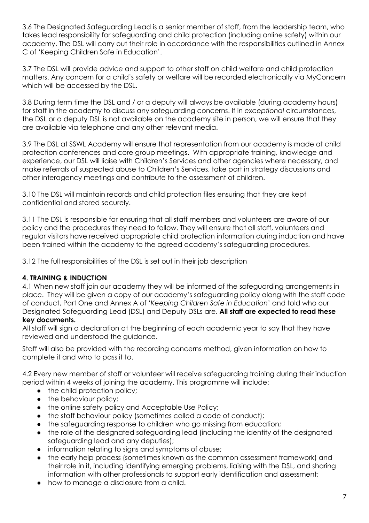3.6 The Designated Safeguarding Lead is a senior member of staff, from the leadership team, who takes lead responsibility for safeguarding and child protection (including online safety) within our academy. The DSL will carry out their role in accordance with the responsibilities outlined in Annex C of 'Keeping Children Safe in Education'.

3.7 The DSL will provide advice and support to other staff on child welfare and child protection matters. Any concern for a child's safety or welfare will be recorded electronically via MyConcern which will be accessed by the DSL.

3.8 During term time the DSL and / or a deputy will always be available (during academy hours) for staff in the academy to discuss any safeguarding concerns. If in *exceptional* circumstances, the DSL or a deputy DSL is not available on the academy site in person, we will ensure that they are available via telephone and any other relevant media.

3.9 The DSL at SSWL Academy will ensure that representation from our academy is made at child protection conferences and core group meetings. With appropriate training, knowledge and experience, our DSL will liaise with Children's Services and other agencies where necessary, and make referrals of suspected abuse to Children's Services, take part in strategy discussions and other interagency meetings and contribute to the assessment of children.

3.10 The DSL will maintain records and child protection files ensuring that they are kept confidential and stored securely.

3.11 The DSL is responsible for ensuring that all staff members and volunteers are aware of our policy and the procedures they need to follow. They will ensure that all staff, volunteers and regular visitors have received appropriate child protection information during induction and have been trained within the academy to the agreed academy's safeguarding procedures.

3.12 The full responsibilities of the DSL is set out in their job description

## **4. TRAINING & INDUCTION**

4.1 When new staff join our academy they will be informed of the safeguarding arrangements in place. They will be given a copy of our academy's safeguarding policy along with the staff code of conduct, Part One and Annex A of '*Keeping Children Safe in Education*' and told who our Designated Safeguarding Lead (DSL) and Deputy DSLs are. **All staff are expected to read these key documents.** 

All staff will sign a declaration at the beginning of each academic year to say that they have reviewed and understood the guidance.

Staff will also be provided with the recording concerns method, given information on how to complete it and who to pass it to.

4.2 Every new member of staff or volunteer will receive safeguarding training during their induction period within 4 weeks of joining the academy. This programme will include:

- the child protection policy;
- the behaviour policy;
- the online safety policy and Acceptable Use Policy;
- the staff behaviour policy (sometimes called a code of conduct);
- the safeguarding response to children who go missing from education;
- the role of the designated safeguarding lead (including the identity of the designated safeguarding lead and any deputies);
- information relating to signs and symptoms of abuse;
- the early help process (sometimes known as the common assessment framework) and their role in it, including identifying emerging problems, liaising with the DSL, and sharing information with other professionals to support early identification and assessment;
- how to manage a disclosure from a child.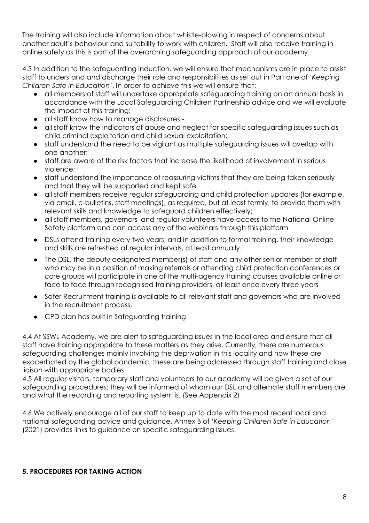The training will also include information about whistle-blowing in respect of concerns about another adult's behaviour and suitability to work with children. Staff will also receive training in online safety as this is part of the overarching safeguarding approach of our academy.

4.3 In addition to the safeguarding induction, we will ensure that mechanisms are in place to assist staff to understand and discharge their role and responsibilities as set out in Part one of '*Keeping Children Safe in Education'*. In order to achieve this we will ensure that:

- all members of staff will undertake appropriate safeguarding training on an annual basis in accordance with the Local Safeguarding Children Partnership advice and we will evaluate the impact of this training;
- all staff know how to manage disclosures -
- all staff know the indicators of abuse and neglect for specific safeguarding issues such as child criminal exploitation and child sexual exploitation;
- staff understand the need to be vigilant as multiple safeguarding issues will overlap with one another;
- staff are aware of the risk factors that increase the likelihood of involvement in serious violence;
- staff understand the importance of reassuring victims that they are being taken seriously and that they will be supported and kept safe
- all staff members receive regular safeguarding and child protection updates (for example, via email, e-bulletins, staff meetings), as required, but at least termly, to provide them with relevant skills and knowledge to safeguard children effectively;
- all staff members, governors and regular volunteers have access to the National Online Safety platform and can access any of the webinars through this platform
- DSLs attend training every two years; and in addition to formal training, their knowledge and skills are refreshed at regular intervals, at least annually.
- The DSL, the deputy designated member(s) of staff and any other senior member of staff who may be in a position of making referrals or attending child protection conferences or core groups will participate in one of the multi-agency training courses available online or face to face through recognised training providers, at least once every three years
- Safer Recruitment training is available to all relevant staff and governors who are involved in the recruitment process.
- CPD plan has built in Safeguarding training

4.4 At SSWL Academy, we are alert to safeguarding issues in the local area and ensure that all staff have training appropriate to these matters as they arise. Currently, there are numerous safeguarding challenges mainly involving the deprivation in this locality and how these are exacerbated by the global pandemic, these are being addressed through staff training and close liaison with appropriate bodies.

4.5 All regular visitors, temporary staff and volunteers to our academy will be given a set of our safeguarding procedures; they will be informed of whom our DSL and alternate staff members are and what the recording and reporting system is. (See Appendix 2)

4.6 We actively encourage all of our staff to keep up to date with the most recent local and national safeguarding advice and guidance, Annex B of '*Keeping Children Safe in Education*' (2021) provides links to guidance on specific safeguarding issues.

#### **5. PROCEDURES FOR TAKING ACTION**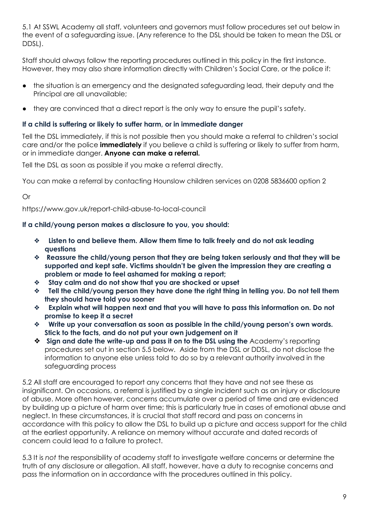5.1 At SSWL Academy all staff, volunteers and governors must follow procedures set out below in the event of a safeguarding issue. (Any reference to the DSL should be taken to mean the DSL or DDSL).

Staff should always follow the reporting procedures outlined in this policy in the first instance. However, they may also share information directly with Children's Social Care, or the police if:

- the situation is an emergency and the designated safeguarding lead, their deputy and the Principal are all unavailable;
- they are convinced that a direct report is the only way to ensure the pupil's safety.

#### **If a child is suffering or likely to suffer harm, or in immediate danger**

Tell the DSL immediately, if this is not possible then you should make a referral to children's social care and/or the police **immediately** if you believe a child is suffering or likely to suffer from harm, or in immediate danger. **Anyone can make a referral.**

Tell the DSL as soon as possible if you make a referral directly.

You can make a referral by contacting Hounslow children services on 0208 5836600 option 2

Or

<https://www.gov.uk/report-child-abuse-to-local-council>

#### **If a child/young person makes a disclosure to you, you should:**

- ❖ **Listen to and believe them. Allow them time to talk freely and do not ask leading questions**
- ❖ **Reassure the child/young person that they are being taken seriously and that they will be supported and kept safe. Victims shouldn't be given the impression they are creating a problem or made to feel ashamed for making a report;**
- ❖ **Stay calm and do not show that you are shocked or upset**
- ❖ **Tell the child/young person they have done the right thing in telling you. Do not tell them they should have told you sooner**
- ❖ **Explain what will happen next and that you will have to pass this information on. Do not promise to keep it a secret**
- ❖ **Write up your conversation as soon as possible in the child/young person's own words. Stick to the facts, and do not put your own judgement on it**
- ❖ **Sign and date the write-up and pass it on to the DSL using the** Academy's reporting procedures set out in section 5.5 below. Aside from the DSL or DDSL, do not disclose the information to anyone else unless told to do so by a relevant authority involved in the safeguarding process

5.2 All staff are encouraged to report any concerns that they have and not see these as insignificant. On occasions, a referral is justified by a single incident such as an injury or disclosure of abuse. More often however, concerns accumulate over a period of time and are evidenced by building up a picture of harm over time; this is particularly true in cases of emotional abuse and neglect. In these circumstances, it is crucial that staff record and pass on concerns in accordance with this policy to allow the DSL to build up a picture and access support for the child at the earliest opportunity. A reliance on memory without accurate and dated records of concern could lead to a failure to protect.

5.3 It is *not* the responsibility of academy staff to investigate welfare concerns or determine the truth of any disclosure or allegation. All staff, however, have a duty to recognise concerns and pass the information on in accordance with the procedures outlined in this policy.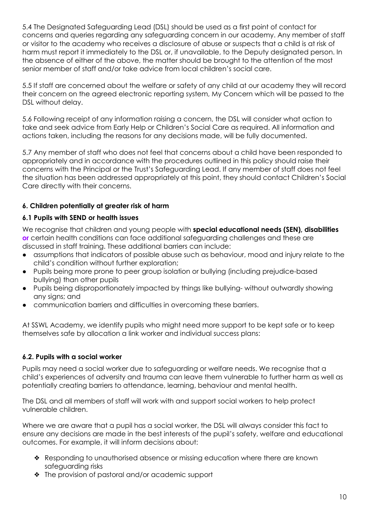5.4 The Designated Safeguarding Lead (DSL) should be used as a first point of contact for concerns and queries regarding any safeguarding concern in our academy. Any member of staff or visitor to the academy who receives a disclosure of abuse or suspects that a child is at risk of harm must report it immediately to the DSL or, if unavailable, to the Deputy designated person. In the absence of either of the above, the matter should be brought to the attention of the most senior member of staff and/or take advice from local children's social care.

5.5 If staff are concerned about the welfare or safety of any child at our academy they will record their concern on the agreed electronic reporting system, My Concern which will be passed to the DSL without delay.

5.6 Following receipt of any information raising a concern, the DSL will consider what action to take and seek advice from Early Help or Children's Social Care as required. All information and actions taken, including the reasons for any decisions made, will be fully documented.

5.7 Any member of staff who does not feel that concerns about a child have been responded to appropriately and in accordance with the procedures outlined in this policy should raise their concerns with the Principal or the Trust's Safeguarding Lead. If any member of staff does not feel the situation has been addressed appropriately at this point, they should contact Children's Social Care directly with their concerns.

## **6. Children potentially at greater risk of harm**

## **6.1 Pupils with SEND or health issues**

We recognise that children and young people with **special educational needs (SEN), disabilities or** certain health conditions can face additional safeguarding challenges and these are discussed in staff training. These additional barriers can include:

- assumptions that indicators of possible abuse such as behaviour, mood and injury relate to the child's condition without further exploration;
- Pupils being more prone to peer group isolation or bullying (including prejudice-based bullying) than other pupils
- Pupils being disproportionately impacted by things like bullying- without outwardly showing any signs; and
- communication barriers and difficulties in overcoming these barriers.

At SSWL Academy, we identify pupils who might need more support to be kept safe or to keep themselves safe by allocation a link worker and individual success plans:

#### **6.2. Pupils with a social worker**

Pupils may need a social worker due to safeguarding or welfare needs. We recognise that a child's experiences of adversity and trauma can leave them vulnerable to further harm as well as potentially creating barriers to attendance, learning, behaviour and mental health.

The DSL and all members of staff will work with and support social workers to help protect vulnerable children.

Where we are aware that a pupil has a social worker, the DSL will always consider this fact to ensure any decisions are made in the best interests of the pupil's safety, welfare and educational outcomes. For example, it will inform decisions about:

- ❖ Responding to unauthorised absence or missing education where there are known safeguarding risks
- ❖ The provision of pastoral and/or academic support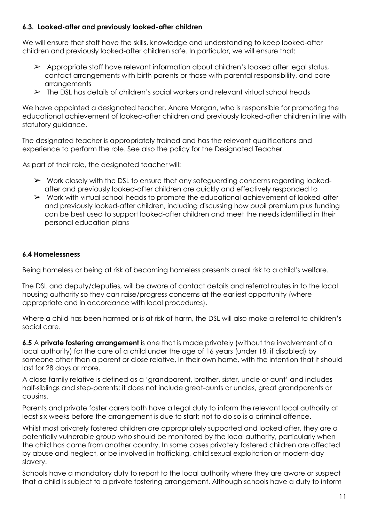## **6.3. Looked-after and previously looked-after children**

We will ensure that staff have the skills, knowledge and understanding to keep looked-after children and previously looked-after children safe. In particular, we will ensure that:

- $\triangleright$  Appropriate staff have relevant information about children's looked after legal status, contact arrangements with birth parents or those with parental responsibility, and care arrangements
- ➢ The DSL has details of children's social workers and relevant virtual school heads

We have appointed a designated teacher, Andre Morgan, who is responsible for promoting the educational achievement of looked-after children and previously looked-after children in line wit[h](https://www.gov.uk/government/publications/designated-teacher-for-looked-after-children) [statutory guidance.](https://www.gov.uk/government/publications/designated-teacher-for-looked-after-children)

The designated teacher is appropriately trained and has the relevant qualifications and experience to perform the role. See also the policy for the Designated Teacher.

As part of their role, the designated teacher will:

- $\triangleright$  Work closely with the DSL to ensure that any safeguarding concerns regarding lookedafter and previously looked-after children are quickly and effectively responded to
- $\triangleright$  Work with virtual school heads to promote the educational achievement of looked-after and previously looked-after children, including discussing how pupil premium plus funding can be best used to support looked-after children and meet the needs identified in their personal education plans

## **6.4 Homelessness**

Being homeless or being at risk of becoming homeless presents a real risk to a child's welfare.

The DSL and deputy/deputies, will be aware of contact details and referral routes in to the local housing authority so they can raise/progress concerns at the earliest opportunity (where appropriate and in accordance with local procedures).

Where a child has been harmed or is at risk of harm, the DSL will also make a referral to children's social care.

**6.5 A private fostering arrangement** is one that is made privately (without the involvement of a local authority) for the care of a child under the age of 16 years (under 18, if disabled) by someone other than a parent or close relative, in their own home, with the intention that it should last for 28 days or more.

A close family relative is defined as a 'grandparent, brother, sister, uncle or aunt' and includes half-siblings and step-parents; it does not include great-aunts or uncles, great grandparents or cousins.

Parents and private foster carers both have a legal duty to inform the relevant local authority at least six weeks before the arrangement is due to start; not to do so is a criminal offence.

Whilst most privately fostered children are appropriately supported and looked after, they are a potentially vulnerable group who should be monitored by the local authority, particularly when the child has come from another country. In some cases privately fostered children are affected by abuse and neglect, or be involved in trafficking, child sexual exploitation or modern-day slavery.

Schools have a mandatory duty to report to the local authority where they are aware or suspect that a child is subject to a private fostering arrangement. Although schools have a duty to inform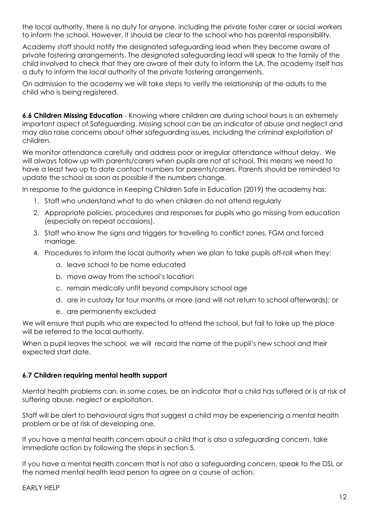the local authority, there is no duty for anyone, including the private foster carer or social workers to inform the school. However, it should be clear to the school who has parental responsibility.

Academy staff should notify the designated safeguarding lead when they become aware of private fostering arrangements. The designated safeguarding lead will speak to the family of the child involved to check that they are aware of their duty to inform the LA. The academy itself has a duty to inform the local authority of the private fostering arrangements.

On admission to the academy we will take steps to verify the relationship of the adults to the child who is being registered.

**6.6 Children Missing Education** - Knowing where children are during school hours is an extremely important aspect of Safeguarding. Missing school can be an indicator of abuse and neglect and may also raise concerns about other safeguarding issues, including the criminal exploitation of children.

We monitor attendance carefully and address poor or irregular attendance without delay. We will always follow up with parents/carers when pupils are not at school. This means we need to have a least two up to date contact numbers for parents/carers. Parents should be reminded to update the school as soon as possible if the numbers change.

In response to the guidance in Keeping Children Safe in Education (2019) the academy has:

- 1. Staff who understand what to do when children do not attend regularly
- 2. Appropriate policies, procedures and responses for pupils who go missing from education (especially on repeat occasions).
- 3. Staff who know the signs and triggers for travelling to conflict zones, FGM and forced marriage.
- 4. Procedures to inform the local authority when we plan to take pupils off-roll when they:
	- a. leave school to be home educated
	- b. move away from the school's location
	- c. remain medically unfit beyond compulsory school age
	- d. are in custody for four months or more (and will not return to school afterwards); or
	- e. are permanently excluded

We will ensure that pupils who are expected to attend the school, but fail to take up the place will be referred to the local authority.

When a pupil leaves the school, we will record the name of the pupil's new school and their expected start date.

#### **6.7 Children requiring mental health support**

Mental health problems can, in some cases, be an indicator that a child has suffered or is at risk of suffering abuse, neglect or exploitation.

Staff will be alert to behavioural signs that suggest a child may be experiencing a mental health problem or be at risk of developing one.

If you have a mental health concern about a child that is also a safeguarding concern, take immediate action by following the steps in section 5.

If you have a mental health concern that is not also a safeguarding concern, speak to the DSL or the named mental health lead person to agree on a course of action.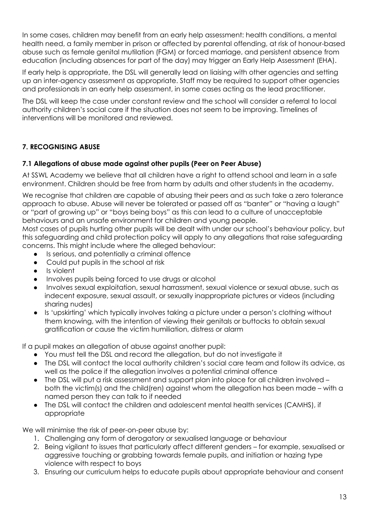In some cases, children may benefit from an early help assessment: health conditions, a mental health need, a family member in prison or affected by parental offending, at risk of honour-based abuse such as female genital mutilation (FGM) or forced marriage, and persistent absence from education (including absences for part of the day) may trigger an Early Help Assessment (EHA).

If early help is appropriate, the DSL will generally lead on liaising with other agencies and setting up an inter-agency assessment as appropriate. Staff may be required to support other agencies and professionals in an early help assessment, in some cases acting as the lead practitioner.

The DSL will keep the case under constant review and the school will consider a referral to local authority children's social care if the situation does not seem to be improving. Timelines of interventions will be monitored and reviewed.

# **7. RECOGNISING ABUSE**

## **7.1 Allegations of abuse made against other pupils (Peer on Peer Abuse)**

At SSWL Academy we believe that all children have a right to attend school and learn in a safe environment. Children should be free from harm by adults and other students in the academy.

We recognise that children are capable of abusing their peers and as such take a zero tolerance approach to abuse. Abuse will never be tolerated or passed off as "banter" or "having a laugh" or "part of growing up" or "boys being boys" as this can lead to a culture of unacceptable behaviours and an unsafe environment for children and young people.

Most cases of pupils hurting other pupils will be dealt with under our school's behaviour policy, but this safeguarding and child protection policy will apply to any allegations that raise safeguarding concerns. This might include where the alleged behaviour:

- Is serious, and potentially a criminal offence
- Could put pupils in the school at risk
- Is violent
- Involves pupils being forced to use drugs or alcohol
- Involves sexual exploitation, sexual harrassment, sexual violence or sexual abuse, such as indecent exposure, sexual assault, or sexually inappropriate pictures or videos (including sharing nudes)
- Is 'upskirting' which typically involves taking a picture under a person's clothing without them knowing, with the intention of viewing their genitals or buttocks to obtain sexual gratification or cause the victim humiliation, distress or alarm

If a pupil makes an allegation of abuse against another pupil:

- You must tell the DSL and record the allegation, but do not investigate it
- The DSL will contact the local authority children's social care team and follow its advice, as well as the police if the allegation involves a potential criminal offence
- The DSL will put a risk assessment and support plan into place for all children involved both the victim(s) and the child(ren) against whom the allegation has been made – with a named person they can talk to if needed
- The DSL will contact the children and adolescent mental health services (CAMHS), if appropriate

We will minimise the risk of peer-on-peer abuse by:

- 1. Challenging any form of derogatory or sexualised language or behaviour
- 2. Being vigilant to issues that particularly affect different genders for example, sexualised or aggressive touching or grabbing towards female pupils, and initiation or hazing type violence with respect to boys
- 3. Ensuring our curriculum helps to educate pupils about appropriate behaviour and consent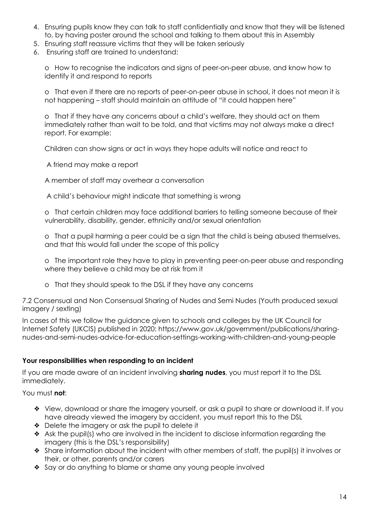- 4. Ensuring pupils know they can talk to staff confidentially and know that they will be listened to, by having poster around the school and talking to them about this in Assembly
- 5. Ensuring staff reassure victims that they will be taken seriously
- 6. Ensuring staff are trained to understand:

o How to recognise the indicators and signs of peer-on-peer abuse, and know how to identify it and respond to reports

o That even if there are no reports of peer-on-peer abuse in school, it does not mean it is not happening – staff should maintain an attitude of "it could happen here"

o That if they have any concerns about a child's welfare, they should act on them immediately rather than wait to be told, and that victims may not always make a direct report. For example:

Children can show signs or act in ways they hope adults will notice and react to

A friend may make a report

A member of staff may overhear a conversation

A child's behaviour might indicate that something is wrong

o That certain children may face additional barriers to telling someone because of their vulnerability, disability, gender, ethnicity and/or sexual orientation

o That a pupil harming a peer could be a sign that the child is being abused themselves, and that this would fall under the scope of this policy

o The important role they have to play in preventing peer-on-peer abuse and responding where they believe a child may be at risk from it

o That they should speak to the DSL if they have any concerns

7.2 Consensual and Non Consensual Sharing of Nudes and Semi Nudes (Youth produced sexual imagery / sexting)

In cases of this we follow the guidance given to schools and colleges by the UK Council for Internet Safety (UKCIS) published in 2020: https://www.gov.uk/government/publications/sharingnudes-and-semi-nudes-advice-for-education-settings-working-with-children-and-young-people

#### **Your responsibilities when responding to an incident**

If you are made aware of an incident involving **sharing nudes**, you must report it to the DSL immediately.

You must **not**:

- ❖ View, download or share the imagery yourself, or ask a pupil to share or download it. If you have already viewed the imagery by accident, you must report this to the DSL
- ❖ Delete the imagery or ask the pupil to delete it
- ❖ Ask the pupil(s) who are involved in the incident to disclose information regarding the imagery (this is the DSL's responsibility)
- ❖ Share information about the incident with other members of staff, the pupil(s) it involves or their, or other, parents and/or carers
- ❖ Say or do anything to blame or shame any young people involved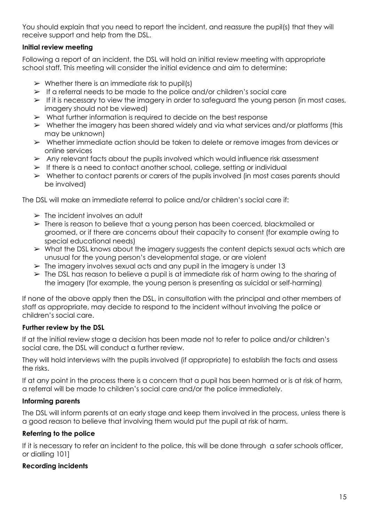You should explain that you need to report the incident, and reassure the pupil(s) that they will receive support and help from the DSL.

## **Initial review meeting**

Following a report of an incident, the DSL will hold an initial review meeting with appropriate school staff. This meeting will consider the initial evidence and aim to determine:

- $\triangleright$  Whether there is an immediate risk to pupil(s)
- ➢ If a referral needs to be made to the police and/or children's social care
- $\triangleright$  If it is necessary to view the imagery in order to safeguard the young person (in most cases, imagery should not be viewed)
- $\triangleright$  What further information is required to decide on the best response
- ➢ Whether the imagery has been shared widely and via what services and/or platforms (this may be unknown)
- $\triangleright$  Whether immediate action should be taken to delete or remove images from devices or online services
- $\triangleright$  Any relevant facts about the pupils involved which would influence risk assessment
- $\triangleright$  If there is a need to contact another school, college, setting or individual
- $\triangleright$  Whether to contact parents or carers of the pupils involved (in most cases parents should be involved)

The DSL will make an immediate referral to police and/or children's social care if:

- $\triangleright$  The incident involves an adult
- $\triangleright$  There is reason to believe that a young person has been coerced, blackmailed or groomed, or if there are concerns about their capacity to consent (for example owing to special educational needs)
- $\triangleright$  What the DSL knows about the imagery suggests the content depicts sexual acts which are unusual for the young person's developmental stage, or are violent
- $\geq$  The imagery involves sexual acts and any pupil in the imagery is under 13
- $\triangleright$  The DSL has reason to believe a pupil is at immediate risk of harm owing to the sharing of the imagery (for example, the young person is presenting as suicidal or self-harming)

If none of the above apply then the DSL, in consultation with the principal and other members of staff as appropriate, may decide to respond to the incident without involving the police or children's social care.

## **Further review by the DSL**

If at the initial review stage a decision has been made not to refer to police and/or children's social care, the DSL will conduct a further review.

They will hold interviews with the pupils involved (if appropriate) to establish the facts and assess the risks.

If at any point in the process there is a concern that a pupil has been harmed or is at risk of harm, a referral will be made to children's social care and/or the police immediately.

## **Informing parents**

The DSL will inform parents at an early stage and keep them involved in the process, unless there is a good reason to believe that involving them would put the pupil at risk of harm.

## **Referring to the police**

If it is necessary to refer an incident to the police, this will be done through a safer schools officer, or dialling 101]

## **Recording incidents**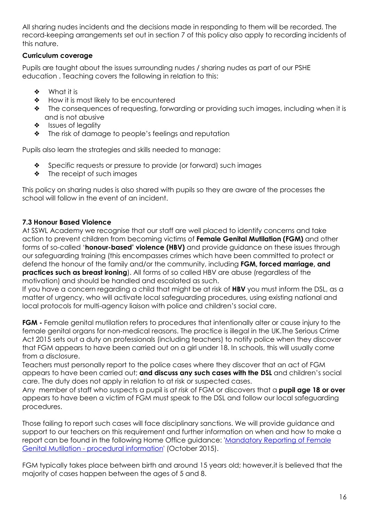All sharing nudes incidents and the decisions made in responding to them will be recorded. The record-keeping arrangements set out in section 7 of this policy also apply to recording incidents of this nature.

## **Curriculum coverage**

Pupils are taught about the issues surrounding nudes / sharing nudes as part of our PSHE education . Teaching covers the following in relation to this:

- ❖ What it is
- ❖ How it is most likely to be encountered
- ❖ The consequences of requesting, forwarding or providing such images, including when it is and is not abusive
- ❖ Issues of legality
- ❖ The risk of damage to people's feelings and reputation

Pupils also learn the strategies and skills needed to manage:

- ❖ Specific requests or pressure to provide (or forward) such images
- ❖ The receipt of such images

This policy on sharing nudes is also shared with pupils so they are aware of the processes the school will follow in the event of an incident.

## **7.3 Honour Based Violence**

At SSWL Academy we recognise that our staff are well placed to identify concerns and take action to prevent children from becoming victims of **Female Genital Mutilation (FGM)** and other forms of so-called '**honour-based' violence (HBV)** and provide guidance on these issues through our safeguarding training (this encompasses crimes which have been committed to protect or defend the honour of the family and/or the community, including **FGM, forced marriage, and practices such as breast ironing**). All forms of so called HBV are abuse (regardless of the motivation) and should be handled and escalated as such.

If you have a concern regarding a child that might be at risk of **HBV** you must inform the DSL, as a matter of urgency, who will activate local safeguarding procedures, using existing national and local protocols for multi-agency liaison with police and children's social care.

**FGM -** Female genital mutilation refers to procedures that intentionally alter or cause injury to the female genital organs for non-medical reasons. The practice is illegal in the UK.The Serious Crime Act 2015 sets out a duty on professionals (including teachers) to notify police when they discover that FGM appears to have been carried out on a girl under 18. In schools, this will usually come from a disclosure.

Teachers must personally report to the police cases where they discover that an act of FGM appears to have been carried out; **and discuss any such cases with the DSL** and children's social care. The duty does not apply in relation to at risk or suspected cases.

Any member of staff who suspects a pupil is *at risk* of FGM or discovers that a **pupil age 18 or over** appears to have been a victim of FGM must speak to the DSL and follow our local safeguarding procedures.

Those failing to report such cases will face disciplinary sanctions. We will provide guidance and support to our teachers on this requirement and further information on when and how to make a report can be found in the following Home Office guidance: ['Mandatory Reporting of Female](https://www.gov.uk/government/uploads/system/uploads/attachment_data/file/469448/FGM-Mandatory-Reporting-procedural-info-FINAL.pdf)  Genital Mutilation - [procedural information'](https://www.gov.uk/government/uploads/system/uploads/attachment_data/file/469448/FGM-Mandatory-Reporting-procedural-info-FINAL.pdf) (October 2015).

FGM typically takes place between birth and around 15 years old; however,it is believed that the majority of cases happen between the ages of 5 and 8.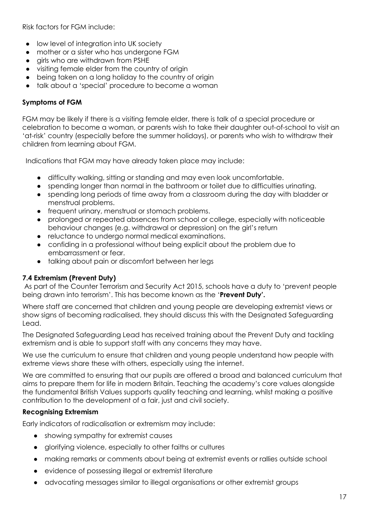Risk factors for FGM include:

- low level of integration into UK society
- mother or a sister who has undergone FGM
- airls who are withdrawn from PSHE
- visiting female elder from the country of origin
- being taken on a long holiday to the country of origin
- talk about a 'special' procedure to become a woman

## **Symptoms of FGM**

FGM may be likely if there is a visiting female elder, there is talk of a special procedure or celebration to become a woman, or parents wish to take their daughter out-of-school to visit an 'at-risk' country (especially before the summer holidays), or parents who wish to withdraw their children from learning about FGM.

Indications that FGM may have already taken place may include:

- difficulty walking, sitting or standing and may even look uncomfortable.
- spending longer than normal in the bathroom or toilet due to difficulties urinating.
- spending long periods of time away from a classroom during the day with bladder or menstrual problems.
- frequent urinary, menstrual or stomach problems.
- prolonged or repeated absences from school or college, especially with noticeable behaviour changes (e.g. withdrawal or depression) on the girl's return
- reluctance to undergo normal medical examinations.
- confiding in a professional without being explicit about the problem due to embarrassment or fear.
- talking about pain or discomfort between her legs

# **7.4 Extremism (Prevent Duty)**

As part of the Counter Terrorism and Security Act 2015, schools have a duty to 'prevent people being drawn into terrorism'. This has become known as the '**Prevent Duty'.**

Where staff are concerned that children and young people are developing extremist views or show signs of becoming radicalised, they should discuss this with the Designated Safeguarding Lead.

The Designated Safeguarding Lead has received training about the Prevent Duty and tackling extremism and is able to support staff with any concerns they may have.

We use the curriculum to ensure that children and young people understand how people with extreme views share these with others, especially using the internet.

We are committed to ensuring that our pupils are offered a broad and balanced curriculum that aims to prepare them for life in modern Britain. Teaching the academy's core values alongside the fundamental British Values supports quality teaching and learning, whilst making a positive contribution to the development of a fair, just and civil society.

## **Recognising Extremism**

Early indicators of radicalisation or extremism may include:

- showing sympathy for extremist causes
- glorifying violence, especially to other faiths or cultures
- making remarks or comments about being at extremist events or rallies outside school
- evidence of possessing illegal or extremist literature
- advocating messages similar to illegal organisations or other extremist groups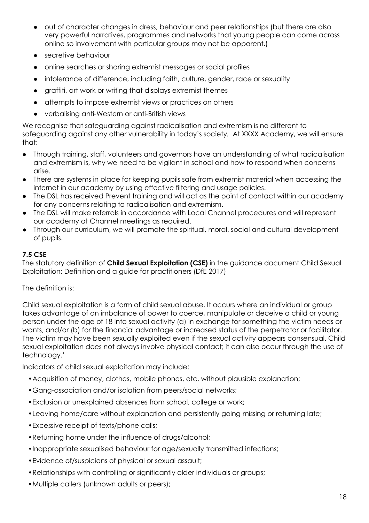- out of character changes in dress, behaviour and peer relationships (but there are also very powerful narratives, programmes and networks that young people can come across online so involvement with particular groups may not be apparent.)
- secretive behaviour
- online searches or sharing extremist messages or social profiles
- intolerance of difference, including faith, culture, gender, race or sexuality
- graffiti, art work or writing that displays extremist themes
- attempts to impose extremist views or practices on others
- verbalising anti-Western or anti-British views

We recognise that safeguarding against radicalisation and extremism is no different to safeguarding against any other vulnerability in today's society*.* At XXXX Academy, we will ensure that:

- Through training, staff, volunteers and governors have an understanding of what radicalisation and extremism is, why we need to be vigilant in school and how to respond when concerns arise.
- There are systems in place for keeping pupils safe from extremist material when accessing the internet in our academy by using effective filtering and usage policies.
- The DSL has received Prevent training and will act as the point of contact within our academy for any concerns relating to radicalisation and extremism.
- The DSL will make referrals in accordance with Local Channel procedures and will represent our academy at Channel meetings as required.
- Through our curriculum, we will promote the spiritual, moral, social and cultural development of pupils.

## **7.5 CSE**

The statutory definition of **Child Sexual Exploitation (CSE)** in the guidance document Child Sexual Exploitation: Definition and a guide for practitioners (DfE 2017)

The definition is:

Child sexual exploitation is a form of child sexual abuse. It occurs where an individual or group takes advantage of an imbalance of power to coerce, manipulate or deceive a child or young person under the age of 18 into sexual activity (a) in exchange for something the victim needs or wants, and/or (b) for the financial advantage or increased status of the perpetrator or facilitator. The victim may have been sexually exploited even if the sexual activity appears consensual. Child sexual exploitation does not always involve physical contact; it can also occur through the use of technology.'

Indicators of child sexual exploitation may include:

- •Acquisition of money, clothes, mobile phones, etc. without plausible explanation;
- •Gang-association and/or isolation from peers/social networks;
- •Exclusion or unexplained absences from school, college or work;
- •Leaving home/care without explanation and persistently going missing or returning late;
- •Excessive receipt of texts/phone calls;
- •Returning home under the influence of drugs/alcohol;
- •Inappropriate sexualised behaviour for age/sexually transmitted infections;
- •Evidence of/suspicions of physical or sexual assault;
- •Relationships with controlling or significantly older individuals or groups;
- •Multiple callers (unknown adults or peers);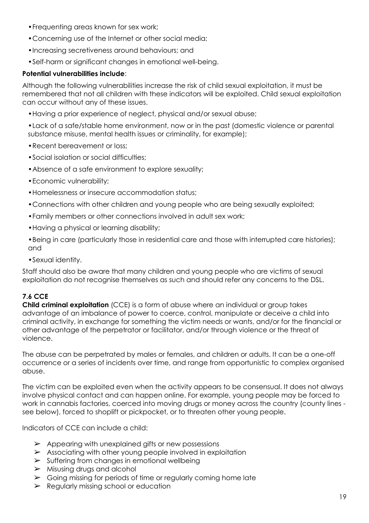- •Frequenting areas known for sex work;
- •Concerning use of the Internet or other social media;
- •Increasing secretiveness around behaviours; and
- •Self-harm or significant changes in emotional well-being.

#### **Potential vulnerabilities include**:

Although the following vulnerabilities increase the risk of child sexual exploitation, it must be remembered that not all children with these indicators will be exploited. Child sexual exploitation can occur without any of these issues.

•Having a prior experience of neglect, physical and/or sexual abuse;

•Lack of a safe/stable home environment, now or in the past (domestic violence or parental substance misuse, mental health issues or criminality, for example);

- •Recent bereavement or loss;
- •Social isolation or social difficulties;
- •Absence of a safe environment to explore sexuality;
- •Economic vulnerability;
- •Homelessness or insecure accommodation status;
- •Connections with other children and young people who are being sexually exploited;
- •Family members or other connections involved in adult sex work;
- •Having a physical or learning disability;

•Being in care (particularly those in residential care and those with interrupted care histories); and

•Sexual identity.

Staff should also be aware that many children and young people who are victims of sexual exploitation do not recognise themselves as such and should refer any concerns to the DSL.

#### **7.6 CCE**

**Child criminal exploitation** (CCE) is a form of abuse where an individual or group takes advantage of an imbalance of power to coerce, control, manipulate or deceive a child into criminal activity, in exchange for something the victim needs or wants, and/or for the financial or other advantage of the perpetrator or facilitator, and/or through violence or the threat of violence.

The abuse can be perpetrated by males or females, and children or adults. It can be a one-off occurrence or a series of incidents over time, and range from opportunistic to complex organised abuse.

The victim can be exploited even when the activity appears to be consensual. It does not always involve physical contact and can happen online. For example, young people may be forced to work in cannabis factories, coerced into moving drugs or money across the country (county lines see below), forced to shoplift or pickpocket, or to threaten other young people.

Indicators of CCE can include a child:

- $\triangleright$  Appearing with unexplained gifts or new possessions
- $\triangleright$  Associating with other young people involved in exploitation
- $\triangleright$  Suffering from changes in emotional wellbeing
- $\triangleright$  Misusing drugs and alcohol
- $\triangleright$  Going missing for periods of time or regularly coming home late
- $\triangleright$  Regularly missing school or education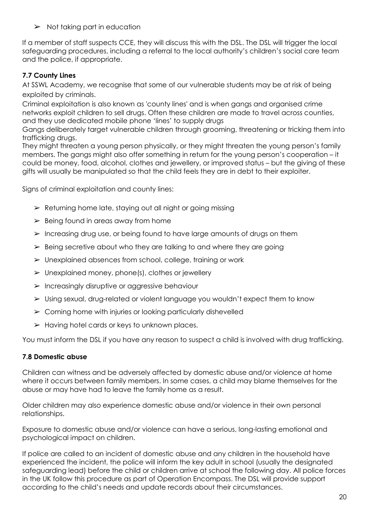$\triangleright$  Not taking part in education

If a member of staff suspects CCE, they will discuss this with the DSL. The DSL will trigger the local safeguarding procedures, including a referral to the local authority's children's social care team and the police, if appropriate.

# **7.7 County Lines**

At SSWL Academy, we recognise that some of our vulnerable students may be at risk of being exploited by criminals.

Criminal exploitation is also known as 'county lines' and is when gangs and organised crime networks exploit children to sell drugs. Often these children are made to travel across counties, and they use dedicated mobile phone 'lines' to supply drugs

Gangs deliberately target vulnerable children through grooming, threatening or tricking them into trafficking drugs.

They might threaten a young person physically, or they might threaten the young person's family members. The gangs might also offer something in return for the young person's cooperation – it could be money, food, alcohol, clothes and jewellery, or improved status – but the giving of these gifts will usually be manipulated so that the child feels they are in debt to their exploiter.

Signs of criminal exploitation and county lines:

- $\triangleright$  Returning home late, staying out all night or going missing
- $\triangleright$  Being found in areas away from home
- $\triangleright$  Increasing drug use, or being found to have large amounts of drugs on them
- $\geq$  Being secretive about who they are talking to and where they are going
- $\triangleright$  Unexplained absences from school, college, training or work
- $\triangleright$  Unexplained money, phone(s), clothes or jewellery
- $\triangleright$  Increasingly disruptive or aggressive behaviour
- ➢ Using sexual, drug-related or violent language you wouldn't expect them to know
- $\geq$  Coming home with injuries or looking particularly dishevelled
- $\blacktriangleright$  Having hotel cards or keys to unknown places.

You must inform the DSL if you have any reason to suspect a child is involved with drug trafficking.

## **7.8 Domestic abuse**

Children can witness and be adversely affected by domestic abuse and/or violence at home where it occurs between family members. In some cases, a child may blame themselves for the abuse or may have had to leave the family home as a result.

Older children may also experience domestic abuse and/or violence in their own personal relationships.

Exposure to domestic abuse and/or violence can have a serious, long-lasting emotional and psychological impact on children.

If police are called to an incident of domestic abuse and any children in the household have experienced the incident, the police will inform the key adult in school (usually the designated safeguarding lead) before the child or children arrive at school the following day. All police forces in the UK follow this procedure as part of [Operation Encompass.](https://www.operationencompass.org/) The DSL will provide support according to the child's needs and update records about their circumstances.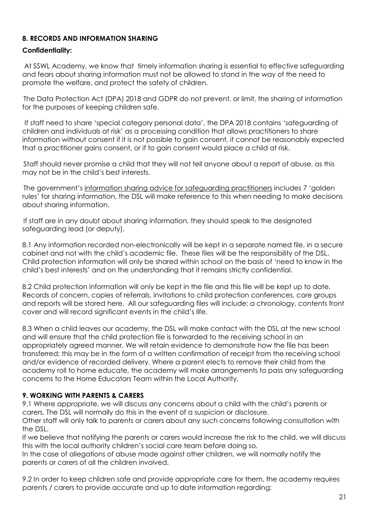## **8. RECORDS AND INFORMATION SHARING**

## **Confidentiality:**

At SSWL Academy, we know that timely information sharing is essential to effective safeguarding and fears about sharing information must not be allowed to stand in the way of the need to promote the welfare, and protect the safety of children.

The Data Protection Act (DPA) 2018 and GDPR do not prevent, or limit, the sharing of information for the purposes of keeping children safe.

 If staff need to share 'special category personal data', the DPA 2018 contains 'safeguarding of children and individuals at risk' as a processing condition that allows practitioners to share information without consent if it is not possible to gain consent, it cannot be reasonably expected that a practitioner gains consent, or if to gain consent would place a child at risk.

Staff should never promise a child that they will not tell anyone about a report of abuse, as this may not be in the child's best interests.

The government's [information sharing advice for safeguarding practitioners](https://www.gov.uk/government/publications/safeguarding-practitioners-information-sharing-advice) includes 7 'golden rules' for sharing information, the DSL will make reference to this when needing to make decisions about sharing information.

If staff are in any doubt about sharing information, they should speak to the designated safeguarding lead (or deputy).

8.1 Any information recorded non-electronically will be kept in a separate named file, in a secure cabinet and not with the child's academic file. These files will be the responsibility of the DSL. Child protection information will only be shared within school on the basis of 'need to know in the child's best interests' and on the understanding that it remains strictly confidential.

8.2 Child protection information will only be kept in the file and this file will be kept up to date. Records of concern, copies of referrals, invitations to child protection conferences, core groups and reports will be stored here. All our safeguarding files will include; a chronology, contents front cover and will record significant events in the child's life.

8.3 When a child leaves our academy, the DSL will make contact with the DSL at the new school and will ensure that the child protection file is forwarded to the receiving school in an appropriately agreed manner. We will retain evidence to demonstrate how the file has been transferred; this may be in the form of a written confirmation of receipt from the receiving school and/or evidence of recorded delivery. Where a parent elects to remove their child from the academy roll to home educate, the academy will make arrangements to pass any safeguarding concerns to the Home Educators Team within the Local Authority.

## **9. WORKING WITH PARENTS & CARERS**

9.1 Where appropriate, we will discuss any concerns about a child with the child's parents or carers. The DSL will normally do this in the event of a suspicion or disclosure.

Other staff will only talk to parents or carers about any such concerns following consultation with the DSL.

If we believe that notifying the parents or carers would increase the risk to the child, we will discuss this with the local authority children's social care team before doing so.

In the case of allegations of abuse made against other children, we will normally notify the parents or carers of all the children involved.

9.2 In order to keep children safe and provide appropriate care for them, the academy requires parents / carers to provide accurate and up to date information regarding: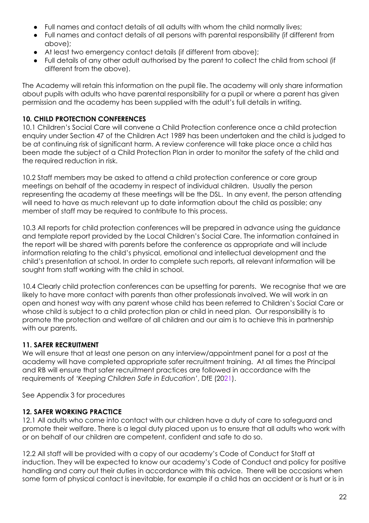- Full names and contact details of all adults with whom the child normally lives;
- Full names and contact details of all persons with parental responsibility (if different from above);
- At least two emergency contact details (if different from above);
- Full details of any other adult authorised by the parent to collect the child from school (if different from the above).

The Academy will retain this information on the pupil file. The academy will only share information about pupils with adults who have parental responsibility for a pupil or where a parent has given permission and the academy has been supplied with the adult's full details in writing.

## **10. CHILD PROTECTION CONFERENCES**

10.1 Children's Social Care will convene a Child Protection conference once a child protection enquiry under Section 47 of the Children Act 1989 has been undertaken and the child is judged to be at continuing risk of significant harm. A review conference will take place once a child has been made the subject of a Child Protection Plan in order to monitor the safety of the child and the required reduction in risk.

10.2 Staff members may be asked to attend a child protection conference or core group meetings on behalf of the academy in respect of individual children. Usually the person representing the academy at these meetings will be the DSL. In any event, the person attending will need to have as much relevant up to date information about the child as possible; any member of staff may be required to contribute to this process.

10.3 All reports for child protection conferences will be prepared in advance using the guidance and template report provided by the Local Children's Social Care. The information contained in the report will be shared with parents before the conference as appropriate and will include information relating to the child's physical, emotional and intellectual development and the child's presentation at school. In order to complete such reports, all relevant information will be sought from staff working with the child in school.

10.4 Clearly child protection conferences can be upsetting for parents. We recognise that we are likely to have more contact with parents than other professionals involved. We will work in an open and honest way with any parent whose child has been referred to Children's Social Care or whose child is subject to a child protection plan or child in need plan. Our responsibility is to promote the protection and welfare of all children and our aim is to achieve this in partnership with our parents.

## **11. SAFER RECRUITMENT**

We will ensure that at least one person on any interview/appointment panel for a post at the academy will have completed appropriate safer recruitment training. At all times the Principal and RB will ensure that safer recruitment practices are followed in accordance with the requirements of *'Keeping Children Safe in Education'*, DfE (2021).

See Appendix 3 for procedures

## **12. SAFER WORKING PRACTICE**

12.1 All adults who come into contact with our children have a duty of care to safeguard and promote their welfare. There is a legal duty placed upon us to ensure that all adults who work with or on behalf of our children are competent, confident and safe to do so.

12.2 All staff will be provided with a copy of our academy's Code of Conduct for Staff at induction. They will be expected to know our academy's Code of Conduct and policy for positive handling and carry out their duties in accordance with this advice. There will be occasions when some form of physical contact is inevitable, for example if a child has an accident or is hurt or is in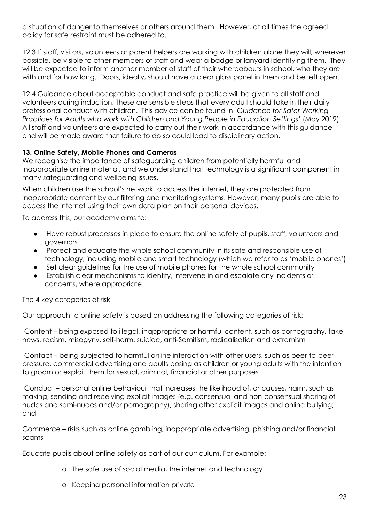a situation of danger to themselves or others around them. However, at all times the agreed policy for safe restraint must be adhered to.

12.3 If staff, visitors, volunteers or parent helpers are working with children alone they will, wherever possible, be visible to other members of staff and wear a badge or lanyard identifying them. They will be expected to inform another member of staff of their whereabouts in school, who they are with and for how long. Doors, ideally, should have a clear glass panel in them and be left open.

12.4 Guidance about acceptable conduct and safe practice will be given to all staff and volunteers during induction. These are sensible steps that every adult should take in their daily professional conduct with children. This advice can be found in '*Guidance for Safer Working Practices for Adults who work with Children and Young People in Education Settings*' (May 2019). All staff and volunteers are expected to carry out their work in accordance with this guidance and will be made aware that failure to do so could lead to disciplinary action.

## **13. Online Safety, Mobile Phones and Cameras**

We recognise the importance of safeguarding children from potentially harmful and inappropriate online material, and we understand that technology is a significant component in many safeguarding and wellbeing issues.

When children use the school's network to access the internet, they are protected from inappropriate content by our filtering and monitoring systems. However, many pupils are able to access the internet using their own data plan on their personal devices.

To address this, our academy aims to:

- Have robust processes in place to ensure the online safety of pupils, staff, volunteers and governors
- Protect and educate the whole school community in its safe and responsible use of technology, including mobile and smart technology (which we refer to as 'mobile phones')
- Set clear guidelines for the use of mobile phones for the whole school community
- Establish clear mechanisms to identify, intervene in and escalate any incidents or concerns, where appropriate

The 4 key categories of risk

Our approach to online safety is based on addressing the following categories of risk:

Content – being exposed to illegal, inappropriate or harmful content, such as pornography, fake news, racism, misogyny, self-harm, suicide, anti-Semitism, radicalisation and extremism

Contact – being subjected to harmful online interaction with other users, such as peer-to-peer pressure, commercial advertising and adults posing as children or young adults with the intention to groom or exploit them for sexual, criminal, financial or other purposes

Conduct – personal online behaviour that increases the likelihood of, or causes, harm, such as making, sending and receiving explicit images (e.g. consensual and non-consensual sharing of nudes and semi-nudes and/or pornography), sharing other explicit images and online bullying; and

Commerce – risks such as online gambling, inappropriate advertising, phishing and/or financial scams

Educate pupils about online safety as part of our curriculum. For example:

- o The safe use of social media, the internet and technology
- o Keeping personal information private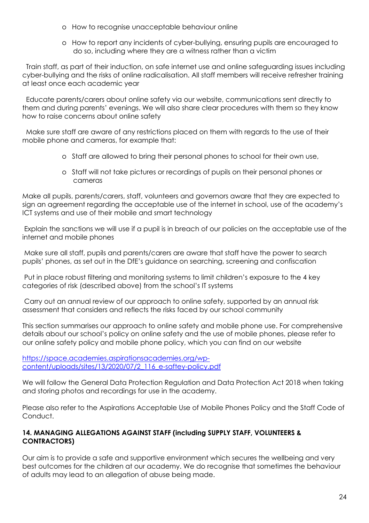- o How to recognise unacceptable behaviour online
- o How to report any incidents of cyber-bullying, ensuring pupils are encouraged to do so, including where they are a witness rather than a victim

 Train staff, as part of their induction, on safe internet use and online safeguarding issues including cyber-bullying and the risks of online radicalisation. All staff members will receive refresher training at least once each academic year

 Educate parents/carers about online safety via our website, communications sent directly to them and during parents' evenings. We will also share clear procedures with them so they know how to raise concerns about online safety

 Make sure staff are aware of any restrictions placed on them with regards to the use of their mobile phone and cameras, for example that:

- o Staff are allowed to bring their personal phones to school for their own use,
- o Staff will not take pictures or recordings of pupils on their personal phones or cameras

Make all pupils, parents/carers, staff, volunteers and governors aware that they are expected to sign an agreement regarding the acceptable use of the internet in school, use of the academy's ICT systems and use of their mobile and smart technology

Explain the sanctions we will use if a pupil is in breach of our policies on the acceptable use of the internet and mobile phones

Make sure all staff, pupils and parents/carers are aware that staff have the power to search pupils' phones, as set out in th[e](https://www.gov.uk/government/publications/searching-screening-and-confiscation) [DfE's guidance on searching, screening and confiscation](https://www.gov.uk/government/publications/searching-screening-and-confiscation)

Put in place robust filtering and monitoring systems to limit children's exposure to the 4 key categories of risk (described above) from the school's IT systems

Carry out an annual review of our approach to online safety, supported by an annual risk assessment that considers and reflects the risks faced by our school community

This section summarises our approach to online safety and mobile phone use. For comprehensive details about our school's policy on online safety and the use of mobile phones, please refer to our online safety policy and mobile phone policy, which you can find on our website

[https://space.academies.aspirationsacademies.org/wp](https://space.academies.aspirationsacademies.org/wp-content/uploads/sites/13/2020/07/2_116_e-saftey-policy.pdf)[content/uploads/sites/13/2020/07/2\\_116\\_e-saftey-policy.pdf](https://space.academies.aspirationsacademies.org/wp-content/uploads/sites/13/2020/07/2_116_e-saftey-policy.pdf)

We will follow the General Data Protection Regulation and Data Protection Act 2018 when taking and storing photos and recordings for use in the academy.

Please also refer to the Aspirations Acceptable Use of Mobile Phones Policy and the Staff Code of Conduct.

## **14. MANAGING ALLEGATIONS AGAINST STAFF (including SUPPLY STAFF, VOLUNTEERS & CONTRACTORS)**

Our aim is to provide a safe and supportive environment which secures the wellbeing and very best outcomes for the children at our academy. We do recognise that sometimes the behaviour of adults may lead to an allegation of abuse being made.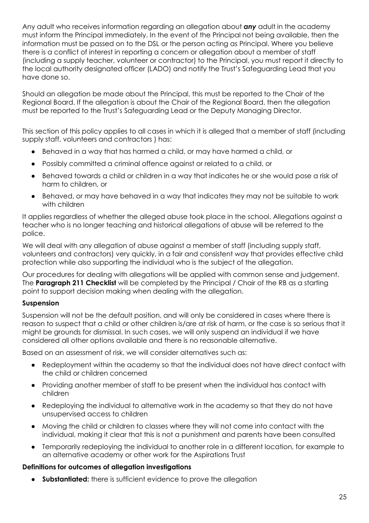Any adult who receives information regarding an allegation about *any* adult in the academy must inform the Principal immediately. In the event of the Principal not being available, then the information must be passed on to the DSL or the person acting as Principal. Where you believe there is a conflict of interest in reporting a concern or allegation about a member of staff (including a supply teacher, volunteer or contractor) to the Principal, you must report it directly to the local authority designated officer (LADO) and notify the Trust's Safeguarding Lead that you have done so.

Should an allegation be made about the Principal, this must be reported to the Chair of the Regional Board. If the allegation is about the Chair of the Regional Board, then the allegation must be reported to the Trust's Safeguarding Lead or the Deputy Managing Director.

This section of this policy applies to all cases in which it is alleged that a member of staff (including supply staff, volunteers and contractors ) has:

- Behaved in a way that has harmed a child, or may have harmed a child, or
- Possibly committed a criminal offence against or related to a child, or
- Behaved towards a child or children in a way that indicates he or she would pose a risk of harm to children, or
- Behaved, or may have behaved in a way that indicates they may not be suitable to work with children

It applies regardless of whether the alleged abuse took place in the school. Allegations against a teacher who is no longer teaching and historical allegations of abuse will be referred to the police.

We will deal with any allegation of abuse against a member of staff (including supply staff, volunteers and contractors) very quickly, in a fair and consistent way that provides effective child protection while also supporting the individual who is the subject of the allegation.

Our procedures for dealing with allegations will be applied with common sense and judgement. The **Paragraph 211 Checklist** will be completed by the Principal / Chair of the RB as a starting point to support decision making when dealing with the allegation.

## **Suspension**

Suspension will not be the default position, and will only be considered in cases where there is reason to suspect that a child or other children is/are at risk of harm, or the case is so serious that it might be grounds for dismissal. In such cases, we will only suspend an individual if we have considered all other options available and there is no reasonable alternative.

Based on an assessment of risk, we will consider alternatives such as:

- Redeployment within the academy so that the individual does not have direct contact with the child or children concerned
- Providing another member of staff to be present when the individual has contact with children
- Redeploying the individual to alternative work in the academy so that they do not have unsupervised access to children
- Moving the child or children to classes where they will not come into contact with the individual, making it clear that this is not a punishment and parents have been consulted
- Temporarily redeploying the individual to another role in a different location, for example to an alternative academy or other work for the Aspirations Trust

#### **Definitions for outcomes of allegation investigations**

● **Substantiated:** there is sufficient evidence to prove the allegation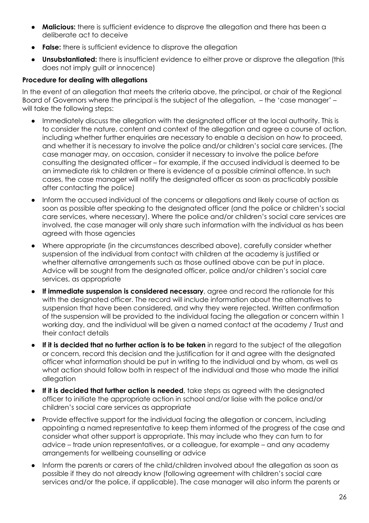- **Malicious:** there is sufficient evidence to disprove the allegation and there has been a deliberate act to deceive
- **False:** there is sufficient evidence to disprove the allegation
- **Unsubstantiated:** there is insufficient evidence to either prove or disprove the allegation (this does not imply guilt or innocence)

## **Procedure for dealing with allegations**

In the event of an allegation that meets the criteria above, the principal, or chair of the Regional Board of Governors where the principal is the subject of the allegation, – the 'case manager' – will take the following steps:

- Immediately discuss the allegation with the designated officer at the local authority. This is to consider the nature, content and context of the allegation and agree a course of action, including whether further enquiries are necessary to enable a decision on how to proceed, and whether it is necessary to involve the police and/or children's social care services. (The case manager may, on occasion, consider it necessary to involve the police *before* consulting the designated officer – for example, if the accused individual is deemed to be an immediate risk to children or there is evidence of a possible criminal offence. In such cases, the case manager will notify the designated officer as soon as practicably possible after contacting the police)
- Inform the accused individual of the concerns or allegations and likely course of action as soon as possible after speaking to the designated officer (and the police or children's social care services, where necessary). Where the police and/or children's social care services are involved, the case manager will only share such information with the individual as has been agreed with those agencies
- Where appropriate (in the circumstances described above), carefully consider whether suspension of the individual from contact with children at the academy is justified or whether alternative arrangements such as those outlined above can be put in place. Advice will be sought from the designated officer, police and/or children's social care services, as appropriate
- **If immediate suspension is considered necessary**, agree and record the rationale for this with the designated officer. The record will include information about the alternatives to suspension that have been considered, and why they were rejected. Written confirmation of the suspension will be provided to the individual facing the allegation or concern within 1 working day, and the individual will be given a named contact at the academy / Trust and their contact details
- **If it is decided that no further action is to be taken** in regard to the subject of the allegation or concern, record this decision and the justification for it and agree with the designated officer what information should be put in writing to the individual and by whom, as well as what action should follow both in respect of the individual and those who made the initial allegation
- **If it is decided that further action is needed**, take steps as agreed with the designated officer to initiate the appropriate action in school and/or liaise with the police and/or children's social care services as appropriate
- Provide effective support for the individual facing the allegation or concern, including appointing a named representative to keep them informed of the progress of the case and consider what other support is appropriate. This may include who they can turn to for advice – trade union representatives, or a colleague, for example – and any academy arrangements for wellbeing counselling or advice
- Inform the parents or carers of the child/children involved about the allegation as soon as possible if they do not already know (following agreement with children's social care services and/or the police, if applicable). The case manager will also inform the parents or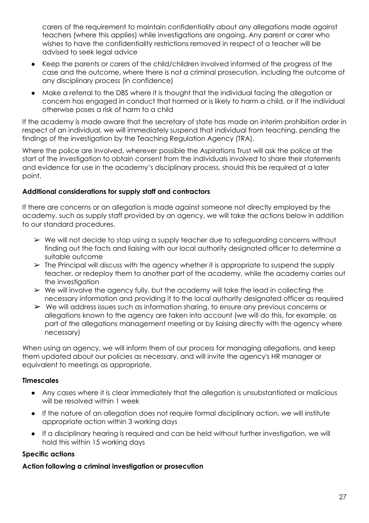carers of the requirement to maintain confidentiality about any allegations made against teachers (where this applies) while investigations are ongoing. Any parent or carer who wishes to have the confidentiality restrictions removed in respect of a teacher will be advised to seek legal advice

- Keep the parents or carers of the child/children involved informed of the progress of the case and the outcome, where there is not a criminal prosecution, including the outcome of any disciplinary process (in confidence)
- Make a referral to the DBS where it is thought that the individual facing the allegation or concern has engaged in conduct that harmed or is likely to harm a child, or if the individual otherwise poses a risk of harm to a child

If the academy is made aware that the secretary of state has made an interim prohibition order in respect of an individual, we will immediately suspend that individual from teaching, pending the findings of the investigation by the Teaching Regulation Agency (TRA).

Where the police are involved, wherever possible the Aspirations Trust will ask the police at the start of the investigation to obtain consent from the individuals involved to share their statements and evidence for use in the academy's disciplinary process, should this be required at a later point.

## **Additional considerations for supply staff and contractors**

If there are concerns or an allegation is made against someone not directly employed by the academy, such as supply staff provided by an agency, we will take the actions below in addition to our standard procedures.

- $\triangleright$  We will not decide to stop using a supply teacher due to safeguarding concerns without finding out the facts and liaising with our local authority designated officer to determine a suitable outcome
- $\triangleright$  The Principal will discuss with the agency whether it is appropriate to suspend the supply teacher, or redeploy them to another part of the academy, while the academy carries out the investigation
- $\triangleright$  We will involve the agency fully, but the academy will take the lead in collecting the necessary information and providing it to the local authority designated officer as required
- $\triangleright$  We will address issues such as information sharing, to ensure any previous concerns or allegations known to the agency are taken into account (we will do this, for example, as part of the allegations management meeting or by liaising directly with the agency where necessary)

When using an agency, we will inform them of our process for managing allegations, and keep them updated about our policies as necessary, and will invite the agency's HR manager or equivalent to meetings as appropriate.

## **Timescales**

- Any cases where it is clear immediately that the allegation is unsubstantiated or malicious will be resolved within 1 week
- If the nature of an allegation does not require formal disciplinary action, we will institute appropriate action within 3 working days
- If a disciplinary hearing is required and can be held without further investigation, we will hold this within 15 working days

# **Specific actions**

# **Action following a criminal investigation or prosecution**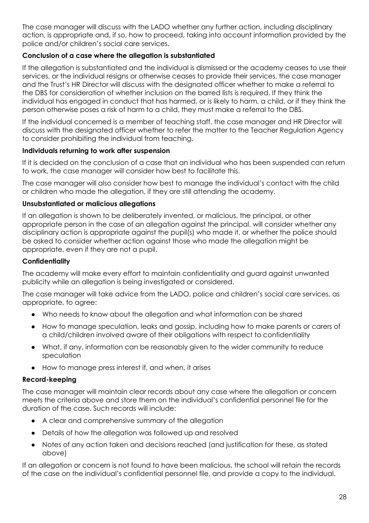The case manager will discuss with the LADO whether any further action, including disciplinary action, is appropriate and, if so, how to proceed, taking into account information provided by the police and/or children's social care services.

## **Conclusion of a case where the allegation is substantiated**

If the allegation is substantiated and the individual is dismissed or the academy ceases to use their services, or the individual resigns or otherwise ceases to provide their services, the case manager and the Trust's HR Director will discuss with the designated officer whether to make a referral to the DBS for consideration of whether inclusion on the barred lists is required. If they think the individual has engaged in conduct that has harmed, or is likely to harm, a child, or if they think the person otherwise poses a risk of harm to a child, they must make a referral to the DBS.

If the individual concerned is a member of teaching staff, the case manager and HR Director will discuss with the designated officer whether to refer the matter to the Teacher Regulation Agency to consider prohibiting the individual from teaching.

## **Individuals returning to work after suspension**

If it is decided on the conclusion of a case that an individual who has been suspended can return to work, the case manager will consider how best to facilitate this.

The case manager will also consider how best to manage the individual's contact with the child or children who made the allegation, if they are still attending the academy.

## **Unsubstantiated or malicious allegations**

If an allegation is shown to be deliberately invented, or malicious, the principal, or other appropriate person in the case of an allegation against the principal, will consider whether any disciplinary action is appropriate against the pupil(s) who made it, or whether the police should be asked to consider whether action against those who made the allegation might be appropriate, even if they are not a pupil.

## **Confidentiality**

The academy will make every effort to maintain confidentiality and guard against unwanted publicity while an allegation is being investigated or considered.

The case manager will take advice from the LADO, police and children's social care services, as appropriate, to agree:

- Who needs to know about the allegation and what information can be shared
- How to manage speculation, leaks and gossip, including how to make parents or carers of a child/children involved aware of their obligations with respect to confidentiality
- What, if any, information can be reasonably given to the wider community to reduce speculation
- How to manage press interest if, and when, it arises

## **Record-keeping**

The case manager will maintain clear records about any case where the allegation or concern meets the criteria above and store them on the individual's confidential personnel file for the duration of the case. Such records will include:

- A clear and comprehensive summary of the allegation
- Details of how the allegation was followed up and resolved
- Notes of any action taken and decisions reached (and justification for these, as stated above)

If an allegation or concern is not found to have been malicious, the school will retain the records of the case on the individual's confidential personnel file, and provide a copy to the individual.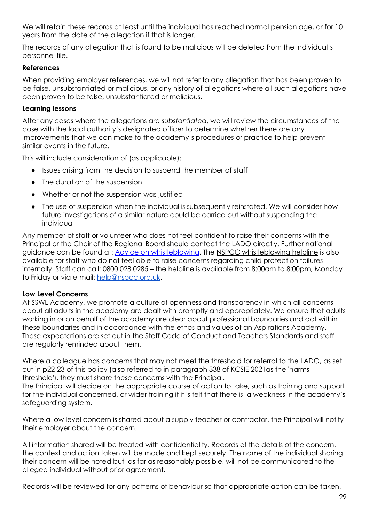We will retain these records at least until the individual has reached normal pension age, or for 10 years from the date of the allegation if that is longer.

The records of any allegation that is found to be malicious will be deleted from the individual's personnel file.

## **References**

When providing employer references, we will not refer to any allegation that has been proven to be false, unsubstantiated or malicious, or any history of allegations where all such allegations have been proven to be false, unsubstantiated or malicious.

#### **Learning lessons**

After any cases where the allegations are *substantiated*, we will review the circumstances of the case with the local authority's designated officer to determine whether there are any improvements that we can make to the academy's procedures or practice to help prevent similar events in the future.

This will include consideration of (as applicable):

- Issues arising from the decision to suspend the member of staff
- The duration of the suspension
- Whether or not the suspension was justified
- The use of suspension when the individual is subsequently reinstated. We will consider how future investigations of a similar nature could be carried out without suspending the individual

Any member of staff or volunteer who does not feel confident to raise their concerns with the Principal or the Chair of the Regional Board should contact the LADO directly. Further national guidance can be found at: [Advice on whistleblowing.](https://www.gov.uk/whistleblowing) The [NSPCC whistleblowing helpline](https://www.nspcc.org.uk/what-you-can-do/report-abuse/dedicated-helplines/whistleblowing-advice-line/) is also available for staff who do not feel able to raise concerns regarding child protection failures internally. Staff can call: 0800 028 0285 – the helpline is available from 8:00am to 8:00pm, Monday to Friday or via e-mail: [help@nspcc.org.uk.](mailto:help@nspcc.org.uk)

## **Low Level Concerns**

At SSWL Academy, we promote a culture of openness and transparency in which all concerns about all adults in the academy are dealt with promptly and appropriately. We ensure that adults working in or on behalf of the academy are clear about professional boundaries and act within these boundaries and in accordance with the ethos and values of an Aspirations Academy. These expectations are set out in the Staff Code of Conduct and Teachers Standards and staff are regularly reminded about them.

Where a colleague has concerns that may not meet the threshold for referral to the LADO, as set out in p22-23 of this policy (also referred to in paragraph 338 of KCSIE 2021as the 'harms threshold'), they must share these concerns with the Principal.

The Principal will decide on the appropriate course of action to take, such as training and support for the individual concerned, or wider training if it is felt that there is a weakness in the academy's safeguarding system.

Where a low level concern is shared about a supply teacher or contractor, the Principal will notify their employer about the concern.

All information shared will be treated with confidentiality. Records of the details of the concern, the context and action taken will be made and kept securely. The name of the individual sharing their concern will be noted but, as far as reasonably possible, will not be communicated to the alleged individual without prior agreement.

Records will be reviewed for any patterns of behaviour so that appropriate action can be taken.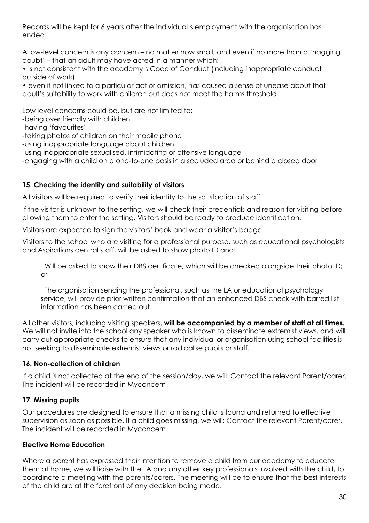Records will be kept for 6 years after the individual's employment with the organisation has ended.

A low-level concern is any concern – no matter how small, and even if no more than a 'nagging doubt' – that an adult may have acted in a manner which:

• is not consistent with the academy's Code of Conduct (including inappropriate conduct outside of work)

• even if not linked to a particular act or omission, has caused a sense of unease about that adult's suitability to work with children but does not meet the harms threshold

Low level concerns could be, but are not limited to:

-being over friendly with children

-having 'favourites'

-taking photos of children on their mobile phone

-using inappropriate language about children

-using inappropriate sexualised, intimidating or offensive language

-engaging with a child on a one-to-one basis in a secluded area or behind a closed door

## **15. Checking the identity and suitability of visitors**

All visitors will be required to verify their identity to the satisfaction of staff.

If the visitor is unknown to the setting, we will check their credentials and reason for visiting before allowing them to enter the setting. Visitors should be ready to produce identification.

Visitors are expected to sign the visitors' book and wear a visitor's badge.

Visitors to the school who are visiting for a professional purpose, such as educational psychologists and Aspirations central staff, will be asked to show photo ID and:

 Will be asked to show their DBS certificate, which will be checked alongside their photo ID; or

 The organisation sending the professional, such as the LA or educational psychology service, will provide prior written confirmation that an enhanced DBS check with barred list information has been carried out

All other visitors, including visiting speakers, **will be accompanied by a member of staff at all times.**  We will not invite into the school any speaker who is known to disseminate extremist views, and will carry out appropriate checks to ensure that any individual or organisation using school facilities is not seeking to disseminate extremist views or radicalise pupils or staff.

## **16. Non-collection of children**

If a child is not collected at the end of the session/day, we will: Contact the relevant Parent/carer. The incident will be recorded in Myconcern

## **17. Missing pupils**

Our procedures are designed to ensure that a missing child is found and returned to effective supervision as soon as possible. If a child goes missing, we will: Contact the relevant Parent/carer. The incident will be recorded in Myconcern

## **Elective Home Education**

Where a parent has expressed their intention to remove a child from our academy to educate them at home, we will liaise with the LA and any other key professionals involved with the child, to coordinate a meeting with the parents/carers. The meeting will be to ensure that the best interests of the child are at the forefront of any decision being made.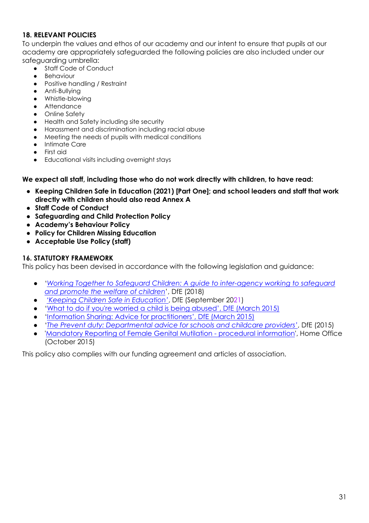## **18. RELEVANT POLICIES**

To underpin the values and ethos of our academy and our intent to ensure that pupils at our academy are appropriately safeguarded the following policies are also included under our safeguarding umbrella:

- **Staff Code of Conduct**
- **Behaviour**
- Positive handling / Restraint
- Anti-Bullying
- Whistle-blowing
- Attendance
- Online Safety
- Health and Safety including site security
- Harassment and discrimination including racial abuse
- Meeting the needs of pupils with medical conditions
- Intimate Care
- First aid
- Educational visits including overnight stays

**We expect all staff, including those who do not work directly with children, to have read:**

- **Keeping Children Safe in Education (2021) [Part One]; and school leaders and staff that work directly with children should also read Annex A**
- **Staff Code of Conduct**
- **Safeguarding and Child Protection Policy**
- **Academy's Behaviour Policy**
- **Policy for Children Missing Education**
- **Acceptable Use Policy (staff)**

#### **16. STATUTORY FRAMEWORK**

This policy has been devised in accordance with the following legislation and guidance:

- '*[Working Together to Safeguard Children: A guide to inter-agency working to safeguard](https://www.gov.uk/government/uploads/system/uploads/attachment_data/file/419595/Working_Together_to_Safeguard_Children.pdf)  [and promote the welfare of children](https://www.gov.uk/government/uploads/system/uploads/attachment_data/file/419595/Working_Together_to_Safeguard_Children.pdf)*', DfE (2018)
- *['Keeping Children Safe in Education'](https://www.gov.uk/government/publications/keeping-children-safe-in-education--2)*, DfE (September 2021)
- ['What to do if you're worried a child is being abused', DfE \(March 2015\)](https://www.gov.uk/government/uploads/system/uploads/attachment_data/file/419604/What_to_do_if_you_re_worried_a_child_is_being_abused.pdf)
- ['Information Sharing: Advice for practitioners', DfE \(March 2015\)](https://www.gov.uk/government/uploads/system/uploads/attachment_data/file/419628/Information_sharing_advice_safeguarding_practitioners.pdf)
- '*[The Prevent duty: Departmental advice for schools and childcare providers'](https://www.gov.uk/government/uploads/system/uploads/attachment_data/file/439598/prevent-duty-departmental-advice-v6.pdf)*, DfE (2015)
- ['Mandatory Reporting of Female Genital Mutilation -](https://www.gov.uk/government/uploads/system/uploads/attachment_data/file/469448/FGM-Mandatory-Reporting-procedural-info-FINAL.pdf) procedural information', Home Office (October 2015)

This policy also complies with our funding agreement and articles of association.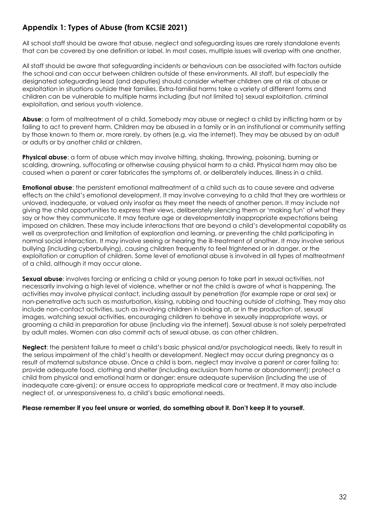# **Appendix 1: Types of Abuse (from KCSiE 2021)**

All school staff should be aware that abuse, neglect and safeguarding issues are rarely standalone events that can be covered by one definition or label. In most cases, multiple issues will overlap with one another.

All staff should be aware that safeguarding incidents or behaviours can be associated with factors outside the school and can occur between children outside of these environments. All staff, but especially the designated safeguarding lead (and deputies) should consider whether children are at risk of abuse or exploitation in situations outside their families. Extra-familial harms take a variety of different forms and children can be vulnerable to multiple harms including (but not limited to) sexual exploitation, criminal exploitation, and serious youth violence.

**Abuse**: a form of maltreatment of a child. Somebody may abuse or neglect a child by inflicting harm or by failing to act to prevent harm. Children may be abused in a family or in an institutional or community setting by those known to them or, more rarely, by others (e.g. via the internet). They may be abused by an adult or adults or by another child or children.

**Physical abuse**: a form of abuse which may involve hitting, shaking, throwing, poisoning, burning or scalding, drowning, suffocating or otherwise causing physical harm to a child. Physical harm may also be caused when a parent or carer fabricates the symptoms of, or deliberately induces, illness in a child.

**Emotional abuse**: the persistent emotional maltreatment of a child such as to cause severe and adverse effects on the child's emotional development. It may involve conveying to a child that they are worthless or unloved, inadequate, or valued only insofar as they meet the needs of another person. It may include not giving the child opportunities to express their views, deliberately silencing them or 'making fun' of what they say or how they communicate. It may feature age or developmentally inappropriate expectations being imposed on children. These may include interactions that are beyond a child's developmental capability as well as overprotection and limitation of exploration and learning, or preventing the child participating in normal social interaction. It may involve seeing or hearing the ill-treatment of another. It may involve serious bullying (including cyberbullying), causing children frequently to feel frightened or in danger, or the exploitation or corruption of children. Some level of emotional abuse is involved in all types of maltreatment of a child, although it may occur alone.

**Sexual abuse**: involves forcing or enticing a child or young person to take part in sexual activities, not necessarily involving a high level of violence, whether or not the child is aware of what is happening. The activities may involve physical contact, including assault by penetration (for example rape or oral sex) or non-penetrative acts such as masturbation, kissing, rubbing and touching outside of clothing. They may also include non-contact activities, such as involving children in looking at, or in the production of, sexual images, watching sexual activities, encouraging children to behave in sexually inappropriate ways, or grooming a child in preparation for abuse (including via the internet). Sexual abuse is not solely perpetrated by adult males. Women can also commit acts of sexual abuse, as can other children.

**Neglect**: the persistent failure to meet a child's basic physical and/or psychological needs, likely to result in the serious impairment of the child's health or development. Neglect may occur during pregnancy as a result of maternal substance abuse. Once a child is born, neglect may involve a parent or carer failing to: provide adequate food, clothing and shelter (including exclusion from home or abandonment); protect a child from physical and emotional harm or danger; ensure adequate supervision (including the use of inadequate care-givers); or ensure access to appropriate medical care or treatment. It may also include neglect of, or unresponsiveness to, a child's basic emotional needs.

**Please remember if you feel unsure or worried, do something about it. Don't keep it to yourself.**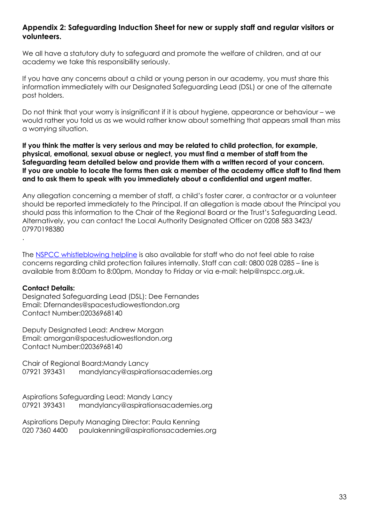## **Appendix 2: Safeguarding Induction Sheet for new or supply staff and regular visitors or volunteers.**

We all have a statutory duty to safeguard and promote the welfare of children, and at our academy we take this responsibility seriously.

If you have any concerns about a child or young person in our academy, you must share this information immediately with our Designated Safeguarding Lead (DSL) or one of the alternate post holders.

Do not think that your worry is insignificant if it is about hygiene, appearance or behaviour – we would rather you told us as we would rather know about something that appears small than miss a worrying situation.

**If you think the matter is very serious and may be related to child protection, for example, physical, emotional, sexual abuse or neglect, you must find a member of staff from the Safeguarding team detailed below and provide them with a written record of your concern. If you are unable to locate the forms then ask a member of the academy office staff to find them and to ask them to speak with you immediately about a confidential and urgent matter.**

Any allegation concerning a member of staff, a child's foster carer, a contractor or a volunteer should be reported immediately to the Principal. If an allegation is made about the Principal you should pass this information to the Chair of the Regional Board or the Trust's Safeguarding Lead. Alternatively, you can contact the Local Authority Designated Officer on 0208 583 3423/ 07970198380

The [NSPCC whistleblowing helpline](https://www.nspcc.org.uk/what-you-can-do/report-abuse/dedicated-helplines/whistleblowing-advice-line/) is also available for staff who do not feel able to raise concerns regarding child protection failures internally. Staff can call: 0800 028 0285 – line is available from 8:00am to 8:00pm, Monday to Friday or via e-mail: help@nspcc.org.uk.

#### **Contact Details:**

.

Designated Safeguarding Lead (DSL): Dee Fernandes Email: Dfernandes@spacestudiowestlondon.org Contact Number:02036968140

Deputy Designated Lead: Andrew Morgan Email: amorgan@spacestudiowestlondon.org Contact Number:02036968140

Chair of Regional Board:Mandy Lancy 07921 393431 [mandylancy@aspirationsacademies.org](mailto:mandylancy@aspirationsacademies.org)

Aspirations Safeguarding Lead: Mandy Lancy 07921 393431 [mandylancy@aspirationsacademies.org](mailto:mandylancy@aspirationsacademies.org)

Aspirations Deputy Managing Director: Paula Kenning 020 7360 4400 [paulakenning@aspirationsacademies.org](mailto:paulakenning@aspirationsacademies.org)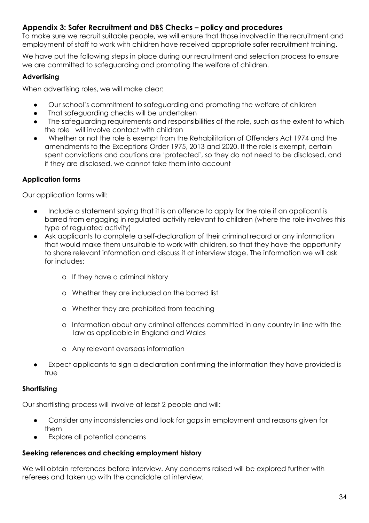# **Appendix 3: Safer Recruitment and DBS Checks – policy and procedures**

To make sure we recruit suitable people, we will ensure that those involved in the recruitment and employment of staff to work with children have received appropriate safer recruitment training.

We have put the following steps in place during our recruitment and selection process to ensure we are committed to safeguarding and promoting the welfare of children.

## **Advertising**

When advertising roles, we will make clear:

- Our school's commitment to safeguarding and promoting the welfare of children
- That safeguarding checks will be undertaken
- The safeguarding requirements and responsibilities of the role, such as the extent to which the role will involve contact with children
- Whether or not the role is exempt from the Rehabilitation of Offenders Act 1974 and the amendments to the Exceptions Order 1975, 2013 and 2020. If the role is exempt, certain spent convictions and cautions are 'protected', so they do not need to be disclosed, and if they are disclosed, we cannot take them into account

## **Application forms**

Our application forms will:

- Include a statement saying that it is an offence to apply for the role if an applicant is barred from engaging in regulated activity relevant to children (where the role involves this type of regulated activity)
- Ask applicants to complete a self-declaration of their criminal record or any information that would make them unsuitable to work with children, so that they have the opportunity to share relevant information and discuss it at interview stage. The information we will ask for includes:
	- o If they have a criminal history
	- o Whether they are included on the barred list
	- o Whether they are prohibited from teaching
	- o Information about any criminal offences committed in any country in line with the law as applicable in England and Wales
	- o Any relevant overseas information
- Expect applicants to sign a declaration confirming the information they have provided is true

#### **Shortlisting**

Our shortlisting process will involve at least 2 people and will:

- Consider any inconsistencies and look for gaps in employment and reasons given for them
- Explore all potential concerns

#### **Seeking references and checking employment history**

We will obtain references before interview. Any concerns raised will be explored further with referees and taken up with the candidate at interview.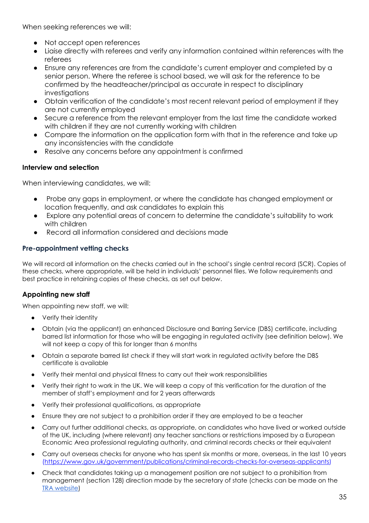When seeking references we will:

- Not accept open references
- Liaise directly with referees and verify any information contained within references with the referees
- Ensure any references are from the candidate's current employer and completed by a senior person. Where the referee is school based, we will ask for the reference to be confirmed by the headteacher/principal as accurate in respect to disciplinary *investigations*
- Obtain verification of the candidate's most recent relevant period of employment if they are not currently employed
- Secure a reference from the relevant employer from the last time the candidate worked with children if they are not currently working with children
- Compare the information on the application form with that in the reference and take up any inconsistencies with the candidate
- Resolve any concerns before any appointment is confirmed

## **Interview and selection**

When interviewing candidates, we will:

- Probe any gaps in employment, or where the candidate has changed employment or location frequently, and ask candidates to explain this
- Explore any potential areas of concern to determine the candidate's suitability to work with children
- Record all information considered and decisions made

#### **Pre-appointment vetting checks**

We will record all information on the checks carried out in the school's single central record (SCR). Copies of these checks, where appropriate, will be held in individuals' personnel files. We follow requirements and best practice in retaining copies of these checks, as set out below.

## **Appointing new staff**

When appointing new staff, we will:

- Verify their identity
- Obtain (via the applicant) an enhanced Disclosure and Barring Service (DBS) certificate, including barred list information for those who will be engaging in regulated activity (see definition below). We will not keep a copy of this for longer than 6 months
- Obtain a separate barred list check if they will start work in regulated activity before the DBS certificate is available
- Verify their mental and physical fitness to carry out their work responsibilities
- Verify their right to work in the UK. We will keep a copy of this verification for the duration of the member of staff's employment and for 2 years afterwards
- Verify their professional qualifications, as appropriate
- Ensure they are not subject to a prohibition order if they are employed to be a teacher
- Carry out further additional checks, as appropriate, on candidates who have lived or worked outside of the UK, including (where relevant) any teacher sanctions or restrictions imposed by a European Economic Area professional regulating authority, and criminal records checks or their equivalent
- Carry out overseas checks for anyone who has spent six months or more, overseas, in the last 10 years [\(https://www.gov.uk/government/publications/criminal-records-checks-for-overseas-applicants\)](https://www.gov.uk/government/publications/criminal-records-checks-for-overseas-applicants)
- Check that candidates taking up a management position are not subject to a prohibition from management (section 128) direction made by the secretary of state (checks can be made on the [TRA website\)](https://teacherservices.education.gov.uk/)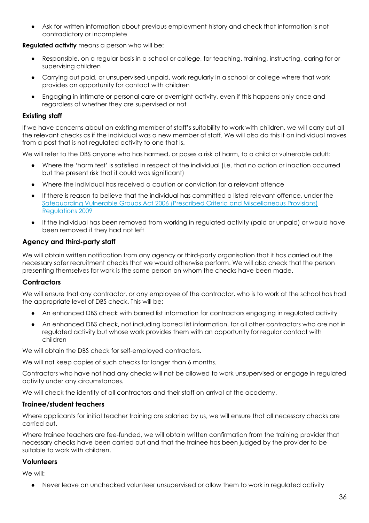● Ask for written information about previous employment history and check that information is not contradictory or incomplete

**Regulated activity** means a person who will be:

- Responsible, on a regular basis in a school or college, for teaching, training, instructing, caring for or supervising children
- Carrying out paid, or unsupervised unpaid, work regularly in a school or college where that work provides an opportunity for contact with children
- Engaging in intimate or personal care or overnight activity, even if this happens only once and regardless of whether they are supervised or not

#### **Existing staff**

If we have concerns about an existing member of staff's suitability to work with children, we will carry out all the relevant checks as if the individual was a new member of staff. We will also do this if an individual moves from a post that is not regulated activity to one that is.

We will refer to the DBS anyone who has harmed, or poses a risk of harm, to a child or vulnerable adult:

- Where the 'harm test' is satisfied in respect of the individual (i.e. that no action or inaction occurred but the present risk that it could was significant)
- Where the individual has received a caution or conviction for a relevant offence
- If there is reason to believe that the individual has committed a listed relevant offence, under the [Safeguarding Vulnerable Groups Act 2006 \(Prescribed Criteria and Miscellaneous Provisions\)](http://www.legislation.gov.uk/uksi/2009/37/contents/made)  [Regulations 2009](http://www.legislation.gov.uk/uksi/2009/37/contents/made)
- If the individual has been removed from working in regulated activity (paid or unpaid) or would have been removed if they had not left

#### **Agency and third-party staff**

We will obtain written notification from any agency or third-party organisation that it has carried out the necessary safer recruitment checks that we would otherwise perform. We will also check that the person presenting themselves for work is the same person on whom the checks have been made.

#### **Contractors**

We will ensure that any contractor, or any employee of the contractor, who is to work at the school has had the appropriate level of DBS check. This will be:

- An enhanced DBS check with barred list information for contractors engaging in regulated activity
- An enhanced DBS check, not including barred list information, for all other contractors who are not in regulated activity but whose work provides them with an opportunity for regular contact with children

We will obtain the DBS check for self-employed contractors.

We will not keep copies of such checks for longer than 6 months.

Contractors who have not had any checks will not be allowed to work unsupervised or engage in regulated activity under any circumstances.

We will check the identity of all contractors and their staff on arrival at the academy.

#### **Trainee/student teachers**

Where applicants for initial teacher training are salaried by us, we will ensure that all necessary checks are carried out.

Where trainee teachers are fee-funded, we will obtain written confirmation from the training provider that necessary checks have been carried out and that the trainee has been judged by the provider to be suitable to work with children.

#### **Volunteers**

We will:

● Never leave an unchecked volunteer unsupervised or allow them to work in regulated activity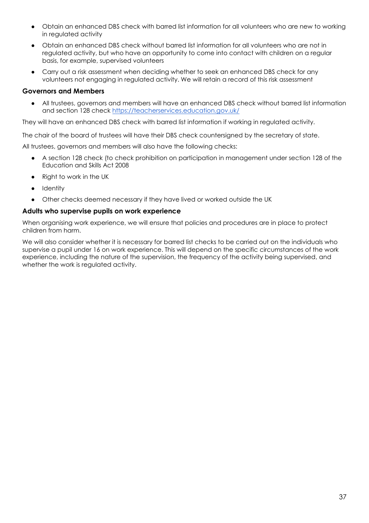- Obtain an enhanced DBS check with barred list information for all volunteers who are new to working in regulated activity
- Obtain an enhanced DBS check without barred list information for all volunteers who are not in regulated activity, but who have an opportunity to come into contact with children on a regular basis, for example, supervised volunteers
- Carry out a risk assessment when deciding whether to seek an enhanced DBS check for any volunteers not engaging in regulated activity. We will retain a record of this risk assessment

#### **Governors and Members**

● All trustees, governors and members will have an enhanced DBS check without barred list information and section 128 check<https://teacherservices.education.gov.uk/>

They will have an enhanced DBS check with barred list information if working in regulated activity.

The chair of the board of trustees will have their DBS check countersigned by the secretary of state.

All trustees, governors and members will also have the following checks:

- A section 128 check (to check prohibition on participation in management under [section 128 of the](https://www.legislation.gov.uk/ukpga/2008/25/section/128)  [Education and Skills Act 2008](https://www.legislation.gov.uk/ukpga/2008/25/section/128)
- Right to work in the UK
- Identity
- Other checks deemed necessary if they have lived or worked outside the UK

#### **Adults who supervise pupils on work experience**

When organising work experience, we will ensure that policies and procedures are in place to protect children from harm.

We will also consider whether it is necessary for barred list checks to be carried out on the individuals who supervise a pupil under 16 on work experience. This will depend on the specific circumstances of the work experience, including the nature of the supervision, the frequency of the activity being supervised, and whether the work is regulated activity.